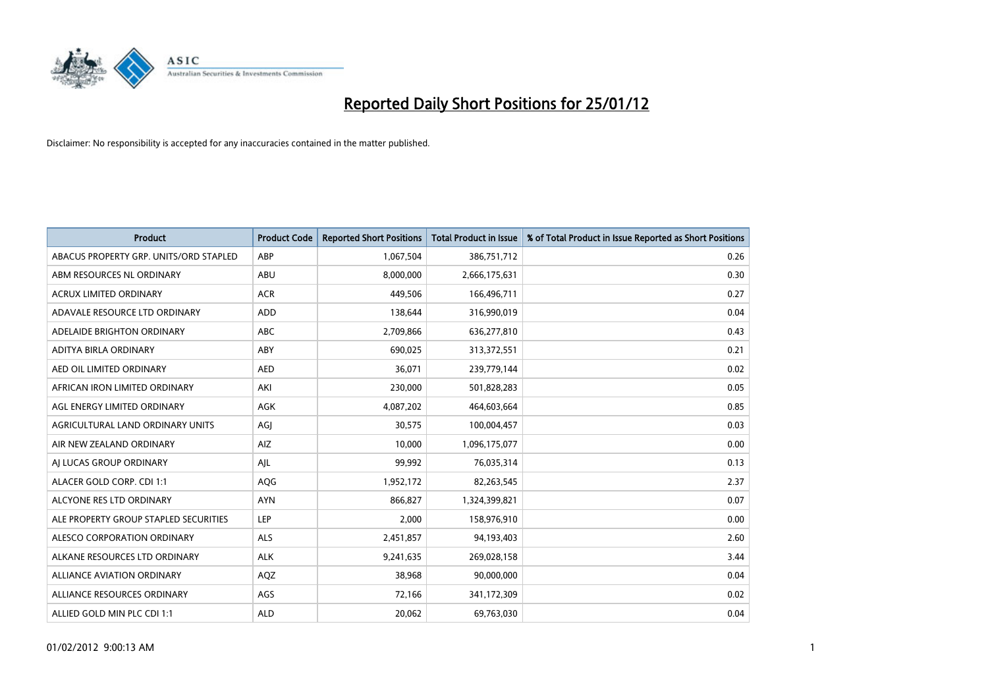

| <b>Product</b>                         | <b>Product Code</b> | <b>Reported Short Positions</b> | <b>Total Product in Issue</b> | % of Total Product in Issue Reported as Short Positions |
|----------------------------------------|---------------------|---------------------------------|-------------------------------|---------------------------------------------------------|
| ABACUS PROPERTY GRP. UNITS/ORD STAPLED | ABP                 | 1,067,504                       | 386,751,712                   | 0.26                                                    |
| ABM RESOURCES NL ORDINARY              | ABU                 | 8,000,000                       | 2,666,175,631                 | 0.30                                                    |
| <b>ACRUX LIMITED ORDINARY</b>          | <b>ACR</b>          | 449,506                         | 166,496,711                   | 0.27                                                    |
| ADAVALE RESOURCE LTD ORDINARY          | <b>ADD</b>          | 138,644                         | 316,990,019                   | 0.04                                                    |
| ADELAIDE BRIGHTON ORDINARY             | <b>ABC</b>          | 2,709,866                       | 636,277,810                   | 0.43                                                    |
| ADITYA BIRLA ORDINARY                  | ABY                 | 690,025                         | 313,372,551                   | 0.21                                                    |
| AED OIL LIMITED ORDINARY               | <b>AED</b>          | 36,071                          | 239,779,144                   | 0.02                                                    |
| AFRICAN IRON LIMITED ORDINARY          | AKI                 | 230,000                         | 501,828,283                   | 0.05                                                    |
| AGL ENERGY LIMITED ORDINARY            | <b>AGK</b>          | 4,087,202                       | 464,603,664                   | 0.85                                                    |
| AGRICULTURAL LAND ORDINARY UNITS       | AGI                 | 30,575                          | 100,004,457                   | 0.03                                                    |
| AIR NEW ZEALAND ORDINARY               | AIZ                 | 10,000                          | 1,096,175,077                 | 0.00                                                    |
| AI LUCAS GROUP ORDINARY                | AJL                 | 99,992                          | 76,035,314                    | 0.13                                                    |
| ALACER GOLD CORP. CDI 1:1              | <b>AQG</b>          | 1,952,172                       | 82,263,545                    | 2.37                                                    |
| ALCYONE RES LTD ORDINARY               | <b>AYN</b>          | 866,827                         | 1,324,399,821                 | 0.07                                                    |
| ALE PROPERTY GROUP STAPLED SECURITIES  | LEP                 | 2,000                           | 158,976,910                   | 0.00                                                    |
| ALESCO CORPORATION ORDINARY            | ALS                 | 2,451,857                       | 94,193,403                    | 2.60                                                    |
| ALKANE RESOURCES LTD ORDINARY          | <b>ALK</b>          | 9,241,635                       | 269,028,158                   | 3.44                                                    |
| ALLIANCE AVIATION ORDINARY             | AQZ                 | 38,968                          | 90,000,000                    | 0.04                                                    |
| ALLIANCE RESOURCES ORDINARY            | AGS                 | 72,166                          | 341,172,309                   | 0.02                                                    |
| ALLIED GOLD MIN PLC CDI 1:1            | <b>ALD</b>          | 20,062                          | 69,763,030                    | 0.04                                                    |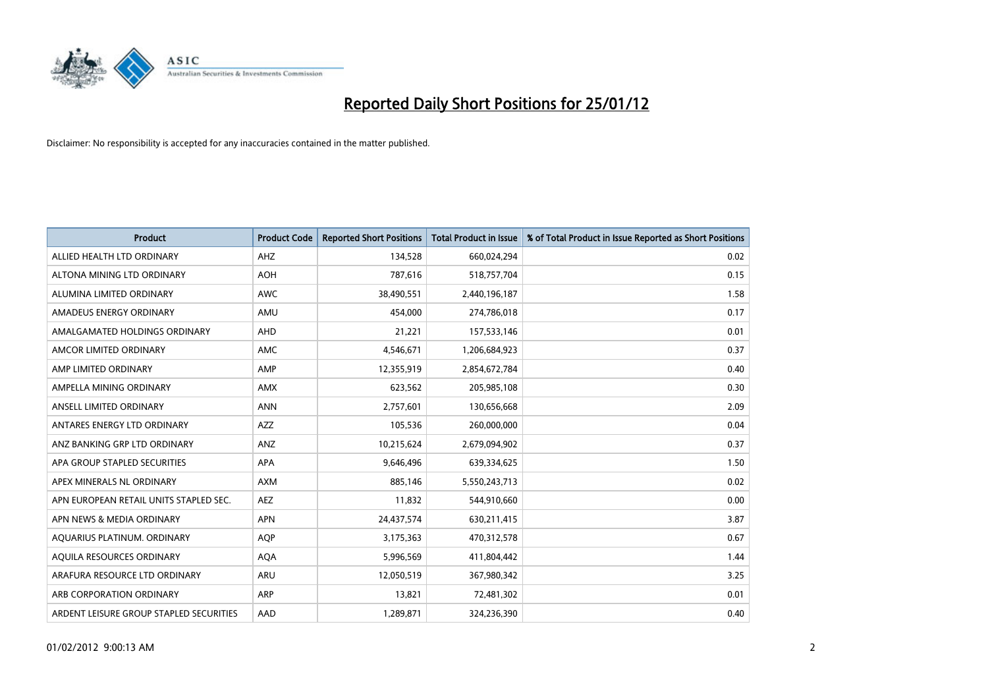

| <b>Product</b>                          | <b>Product Code</b> | <b>Reported Short Positions</b> | Total Product in Issue | % of Total Product in Issue Reported as Short Positions |
|-----------------------------------------|---------------------|---------------------------------|------------------------|---------------------------------------------------------|
| ALLIED HEALTH LTD ORDINARY              | AHZ                 | 134,528                         | 660,024,294            | 0.02                                                    |
| ALTONA MINING LTD ORDINARY              | <b>AOH</b>          | 787,616                         | 518,757,704            | 0.15                                                    |
| ALUMINA LIMITED ORDINARY                | <b>AWC</b>          | 38,490,551                      | 2,440,196,187          | 1.58                                                    |
| AMADEUS ENERGY ORDINARY                 | AMU                 | 454,000                         | 274,786,018            | 0.17                                                    |
| AMALGAMATED HOLDINGS ORDINARY           | AHD                 | 21,221                          | 157,533,146            | 0.01                                                    |
| AMCOR LIMITED ORDINARY                  | <b>AMC</b>          | 4,546,671                       | 1,206,684,923          | 0.37                                                    |
| AMP LIMITED ORDINARY                    | AMP                 | 12,355,919                      | 2,854,672,784          | 0.40                                                    |
| AMPELLA MINING ORDINARY                 | <b>AMX</b>          | 623,562                         | 205,985,108            | 0.30                                                    |
| ANSELL LIMITED ORDINARY                 | <b>ANN</b>          | 2,757,601                       | 130,656,668            | 2.09                                                    |
| ANTARES ENERGY LTD ORDINARY             | <b>AZZ</b>          | 105,536                         | 260,000,000            | 0.04                                                    |
| ANZ BANKING GRP LTD ORDINARY            | <b>ANZ</b>          | 10,215,624                      | 2,679,094,902          | 0.37                                                    |
| APA GROUP STAPLED SECURITIES            | <b>APA</b>          | 9,646,496                       | 639,334,625            | 1.50                                                    |
| APEX MINERALS NL ORDINARY               | <b>AXM</b>          | 885,146                         | 5,550,243,713          | 0.02                                                    |
| APN EUROPEAN RETAIL UNITS STAPLED SEC.  | <b>AEZ</b>          | 11,832                          | 544,910,660            | 0.00                                                    |
| APN NEWS & MEDIA ORDINARY               | <b>APN</b>          | 24,437,574                      | 630,211,415            | 3.87                                                    |
| AQUARIUS PLATINUM. ORDINARY             | <b>AOP</b>          | 3,175,363                       | 470,312,578            | 0.67                                                    |
| AQUILA RESOURCES ORDINARY               | <b>AQA</b>          | 5,996,569                       | 411,804,442            | 1.44                                                    |
| ARAFURA RESOURCE LTD ORDINARY           | ARU                 | 12,050,519                      | 367,980,342            | 3.25                                                    |
| ARB CORPORATION ORDINARY                | ARP                 | 13,821                          | 72,481,302             | 0.01                                                    |
| ARDENT LEISURE GROUP STAPLED SECURITIES | AAD                 | 1,289,871                       | 324,236,390            | 0.40                                                    |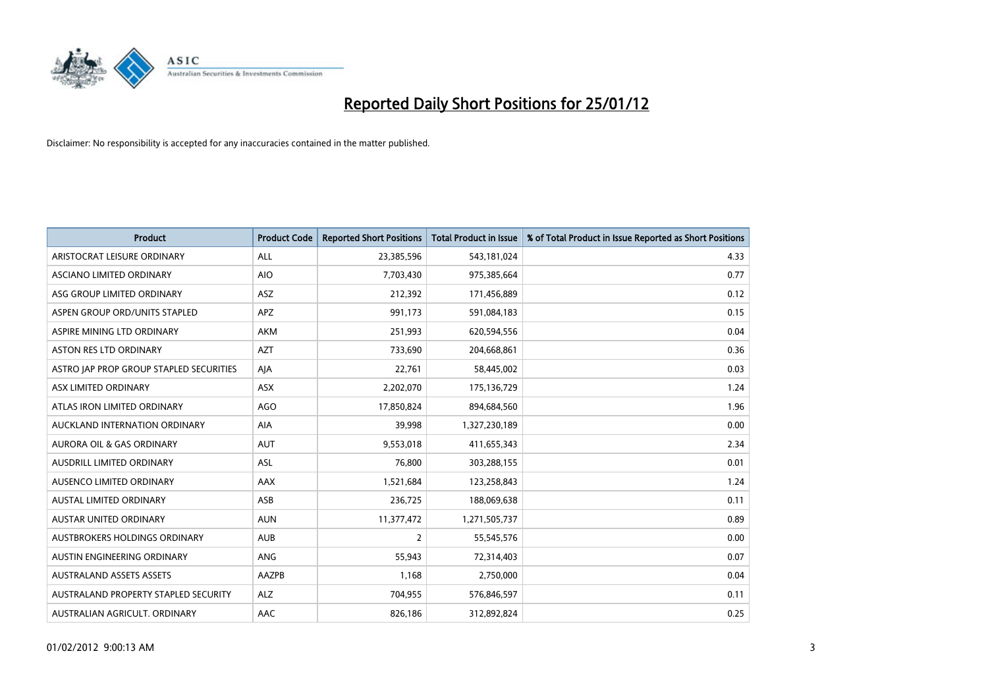

| <b>Product</b>                          | <b>Product Code</b> | <b>Reported Short Positions</b> | <b>Total Product in Issue</b> | % of Total Product in Issue Reported as Short Positions |
|-----------------------------------------|---------------------|---------------------------------|-------------------------------|---------------------------------------------------------|
| ARISTOCRAT LEISURE ORDINARY             | <b>ALL</b>          | 23,385,596                      | 543,181,024                   | 4.33                                                    |
| ASCIANO LIMITED ORDINARY                | <b>AIO</b>          | 7,703,430                       | 975,385,664                   | 0.77                                                    |
| ASG GROUP LIMITED ORDINARY              | ASZ                 | 212,392                         | 171,456,889                   | 0.12                                                    |
| ASPEN GROUP ORD/UNITS STAPLED           | <b>APZ</b>          | 991,173                         | 591,084,183                   | 0.15                                                    |
| ASPIRE MINING LTD ORDINARY              | <b>AKM</b>          | 251,993                         | 620,594,556                   | 0.04                                                    |
| ASTON RES LTD ORDINARY                  | <b>AZT</b>          | 733,690                         | 204,668,861                   | 0.36                                                    |
| ASTRO JAP PROP GROUP STAPLED SECURITIES | AIA                 | 22,761                          | 58,445,002                    | 0.03                                                    |
| ASX LIMITED ORDINARY                    | ASX                 | 2,202,070                       | 175,136,729                   | 1.24                                                    |
| ATLAS IRON LIMITED ORDINARY             | <b>AGO</b>          | 17,850,824                      | 894,684,560                   | 1.96                                                    |
| AUCKLAND INTERNATION ORDINARY           | <b>AIA</b>          | 39,998                          | 1,327,230,189                 | 0.00                                                    |
| <b>AURORA OIL &amp; GAS ORDINARY</b>    | <b>AUT</b>          | 9,553,018                       | 411,655,343                   | 2.34                                                    |
| <b>AUSDRILL LIMITED ORDINARY</b>        | <b>ASL</b>          | 76,800                          | 303,288,155                   | 0.01                                                    |
| <b>AUSENCO LIMITED ORDINARY</b>         | AAX                 | 1,521,684                       | 123,258,843                   | 1.24                                                    |
| <b>AUSTAL LIMITED ORDINARY</b>          | ASB                 | 236,725                         | 188,069,638                   | 0.11                                                    |
| AUSTAR UNITED ORDINARY                  | <b>AUN</b>          | 11,377,472                      | 1,271,505,737                 | 0.89                                                    |
| <b>AUSTBROKERS HOLDINGS ORDINARY</b>    | <b>AUB</b>          | 2                               | 55,545,576                    | 0.00                                                    |
| AUSTIN ENGINEERING ORDINARY             | ANG                 | 55,943                          | 72,314,403                    | 0.07                                                    |
| <b>AUSTRALAND ASSETS ASSETS</b>         | AAZPB               | 1,168                           | 2,750,000                     | 0.04                                                    |
| AUSTRALAND PROPERTY STAPLED SECURITY    | <b>ALZ</b>          | 704,955                         | 576,846,597                   | 0.11                                                    |
| AUSTRALIAN AGRICULT. ORDINARY           | AAC                 | 826,186                         | 312,892,824                   | 0.25                                                    |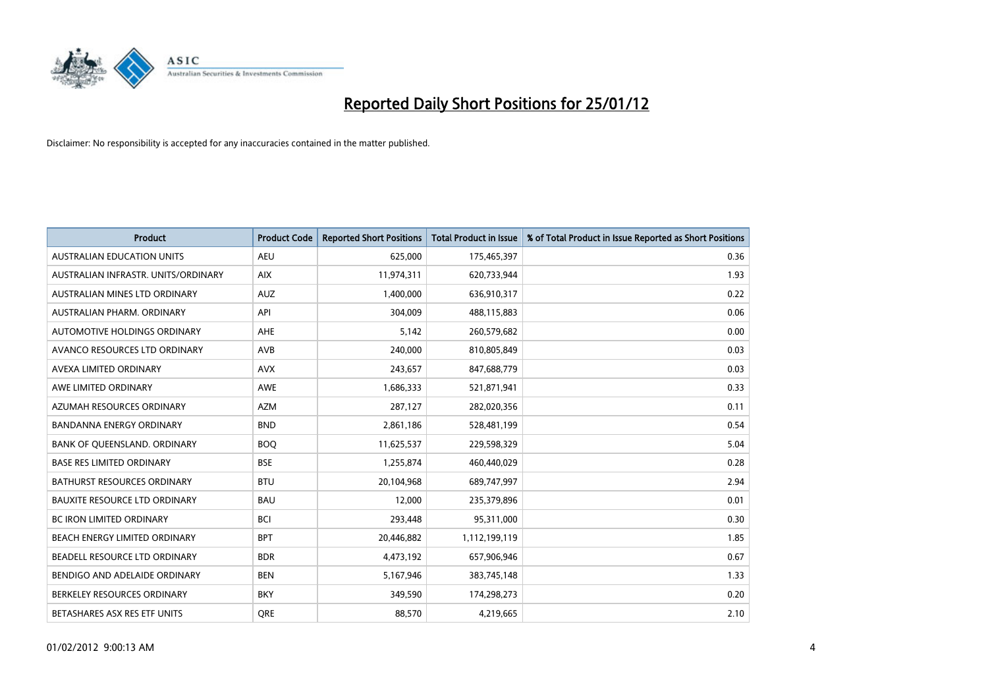

| <b>Product</b>                       | <b>Product Code</b> | <b>Reported Short Positions</b> | <b>Total Product in Issue</b> | % of Total Product in Issue Reported as Short Positions |
|--------------------------------------|---------------------|---------------------------------|-------------------------------|---------------------------------------------------------|
| <b>AUSTRALIAN EDUCATION UNITS</b>    | <b>AEU</b>          | 625,000                         | 175,465,397                   | 0.36                                                    |
| AUSTRALIAN INFRASTR, UNITS/ORDINARY  | <b>AIX</b>          | 11,974,311                      | 620,733,944                   | 1.93                                                    |
| AUSTRALIAN MINES LTD ORDINARY        | <b>AUZ</b>          | 1,400,000                       | 636,910,317                   | 0.22                                                    |
| AUSTRALIAN PHARM. ORDINARY           | API                 | 304,009                         | 488,115,883                   | 0.06                                                    |
| AUTOMOTIVE HOLDINGS ORDINARY         | <b>AHE</b>          | 5,142                           | 260,579,682                   | 0.00                                                    |
| AVANCO RESOURCES LTD ORDINARY        | <b>AVB</b>          | 240,000                         | 810,805,849                   | 0.03                                                    |
| AVEXA LIMITED ORDINARY               | <b>AVX</b>          | 243,657                         | 847,688,779                   | 0.03                                                    |
| AWE LIMITED ORDINARY                 | <b>AWE</b>          | 1,686,333                       | 521,871,941                   | 0.33                                                    |
| AZUMAH RESOURCES ORDINARY            | <b>AZM</b>          | 287,127                         | 282,020,356                   | 0.11                                                    |
| <b>BANDANNA ENERGY ORDINARY</b>      | <b>BND</b>          | 2,861,186                       | 528,481,199                   | 0.54                                                    |
| BANK OF QUEENSLAND. ORDINARY         | <b>BOQ</b>          | 11,625,537                      | 229,598,329                   | 5.04                                                    |
| <b>BASE RES LIMITED ORDINARY</b>     | <b>BSE</b>          | 1,255,874                       | 460,440,029                   | 0.28                                                    |
| <b>BATHURST RESOURCES ORDINARY</b>   | <b>BTU</b>          | 20,104,968                      | 689,747,997                   | 2.94                                                    |
| <b>BAUXITE RESOURCE LTD ORDINARY</b> | <b>BAU</b>          | 12,000                          | 235,379,896                   | 0.01                                                    |
| <b>BC IRON LIMITED ORDINARY</b>      | <b>BCI</b>          | 293,448                         | 95,311,000                    | 0.30                                                    |
| BEACH ENERGY LIMITED ORDINARY        | <b>BPT</b>          | 20,446,882                      | 1,112,199,119                 | 1.85                                                    |
| BEADELL RESOURCE LTD ORDINARY        | <b>BDR</b>          | 4,473,192                       | 657,906,946                   | 0.67                                                    |
| BENDIGO AND ADELAIDE ORDINARY        | <b>BEN</b>          | 5,167,946                       | 383,745,148                   | 1.33                                                    |
| BERKELEY RESOURCES ORDINARY          | <b>BKY</b>          | 349,590                         | 174,298,273                   | 0.20                                                    |
| BETASHARES ASX RES ETF UNITS         | <b>ORE</b>          | 88,570                          | 4,219,665                     | 2.10                                                    |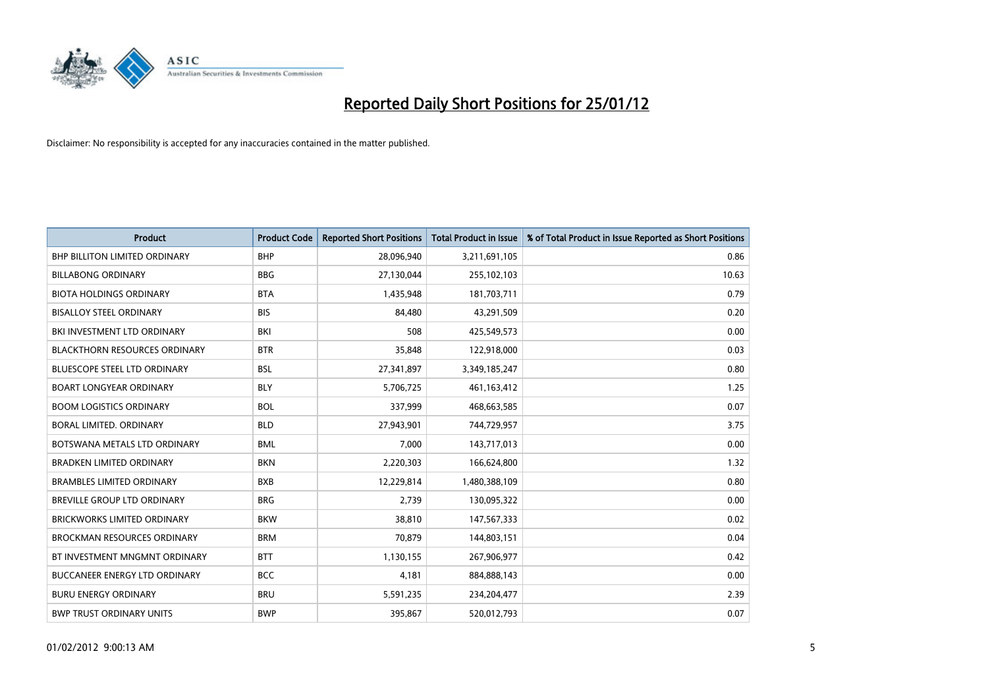

| <b>Product</b>                       | <b>Product Code</b> | <b>Reported Short Positions</b> | <b>Total Product in Issue</b> | % of Total Product in Issue Reported as Short Positions |
|--------------------------------------|---------------------|---------------------------------|-------------------------------|---------------------------------------------------------|
| <b>BHP BILLITON LIMITED ORDINARY</b> | <b>BHP</b>          | 28,096,940                      | 3,211,691,105                 | 0.86                                                    |
| <b>BILLABONG ORDINARY</b>            | <b>BBG</b>          | 27,130,044                      | 255,102,103                   | 10.63                                                   |
| <b>BIOTA HOLDINGS ORDINARY</b>       | <b>BTA</b>          | 1,435,948                       | 181,703,711                   | 0.79                                                    |
| <b>BISALLOY STEEL ORDINARY</b>       | <b>BIS</b>          | 84,480                          | 43,291,509                    | 0.20                                                    |
| BKI INVESTMENT LTD ORDINARY          | BKI                 | 508                             | 425,549,573                   | 0.00                                                    |
| <b>BLACKTHORN RESOURCES ORDINARY</b> | <b>BTR</b>          | 35,848                          | 122,918,000                   | 0.03                                                    |
| <b>BLUESCOPE STEEL LTD ORDINARY</b>  | <b>BSL</b>          | 27,341,897                      | 3,349,185,247                 | 0.80                                                    |
| <b>BOART LONGYEAR ORDINARY</b>       | <b>BLY</b>          | 5,706,725                       | 461,163,412                   | 1.25                                                    |
| <b>BOOM LOGISTICS ORDINARY</b>       | <b>BOL</b>          | 337,999                         | 468,663,585                   | 0.07                                                    |
| BORAL LIMITED, ORDINARY              | <b>BLD</b>          | 27,943,901                      | 744,729,957                   | 3.75                                                    |
| BOTSWANA METALS LTD ORDINARY         | <b>BML</b>          | 7,000                           | 143,717,013                   | 0.00                                                    |
| <b>BRADKEN LIMITED ORDINARY</b>      | <b>BKN</b>          | 2,220,303                       | 166,624,800                   | 1.32                                                    |
| <b>BRAMBLES LIMITED ORDINARY</b>     | <b>BXB</b>          | 12,229,814                      | 1,480,388,109                 | 0.80                                                    |
| <b>BREVILLE GROUP LTD ORDINARY</b>   | <b>BRG</b>          | 2,739                           | 130,095,322                   | 0.00                                                    |
| <b>BRICKWORKS LIMITED ORDINARY</b>   | <b>BKW</b>          | 38,810                          | 147,567,333                   | 0.02                                                    |
| <b>BROCKMAN RESOURCES ORDINARY</b>   | <b>BRM</b>          | 70,879                          | 144,803,151                   | 0.04                                                    |
| BT INVESTMENT MNGMNT ORDINARY        | <b>BTT</b>          | 1,130,155                       | 267,906,977                   | 0.42                                                    |
| <b>BUCCANEER ENERGY LTD ORDINARY</b> | <b>BCC</b>          | 4,181                           | 884,888,143                   | 0.00                                                    |
| <b>BURU ENERGY ORDINARY</b>          | <b>BRU</b>          | 5,591,235                       | 234,204,477                   | 2.39                                                    |
| <b>BWP TRUST ORDINARY UNITS</b>      | <b>BWP</b>          | 395.867                         | 520,012,793                   | 0.07                                                    |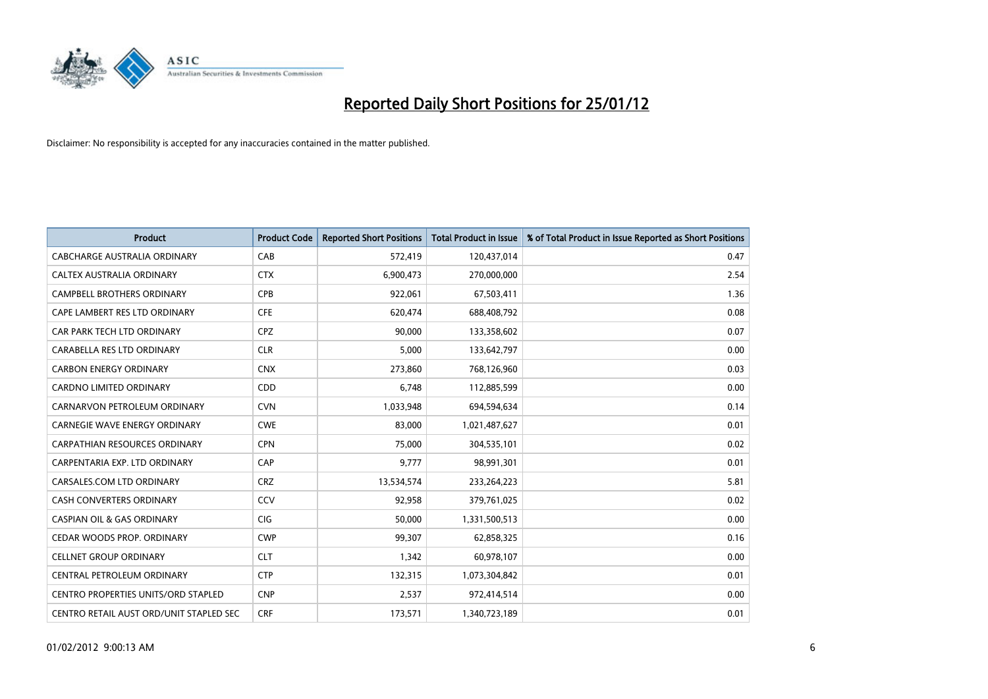

| <b>Product</b>                             | <b>Product Code</b> | <b>Reported Short Positions</b> | <b>Total Product in Issue</b> | % of Total Product in Issue Reported as Short Positions |
|--------------------------------------------|---------------------|---------------------------------|-------------------------------|---------------------------------------------------------|
| CABCHARGE AUSTRALIA ORDINARY               | CAB                 | 572,419                         | 120,437,014                   | 0.47                                                    |
| CALTEX AUSTRALIA ORDINARY                  | <b>CTX</b>          | 6,900,473                       | 270,000,000                   | 2.54                                                    |
| <b>CAMPBELL BROTHERS ORDINARY</b>          | <b>CPB</b>          | 922,061                         | 67,503,411                    | 1.36                                                    |
| CAPE LAMBERT RES LTD ORDINARY              | <b>CFE</b>          | 620,474                         | 688,408,792                   | 0.08                                                    |
| CAR PARK TECH LTD ORDINARY                 | <b>CPZ</b>          | 90,000                          | 133,358,602                   | 0.07                                                    |
| CARABELLA RES LTD ORDINARY                 | <b>CLR</b>          | 5,000                           | 133,642,797                   | 0.00                                                    |
| <b>CARBON ENERGY ORDINARY</b>              | <b>CNX</b>          | 273,860                         | 768,126,960                   | 0.03                                                    |
| CARDNO LIMITED ORDINARY                    | CDD                 | 6,748                           | 112,885,599                   | 0.00                                                    |
| CARNARVON PETROLEUM ORDINARY               | <b>CVN</b>          | 1,033,948                       | 694,594,634                   | 0.14                                                    |
| <b>CARNEGIE WAVE ENERGY ORDINARY</b>       | <b>CWE</b>          | 83,000                          | 1,021,487,627                 | 0.01                                                    |
| CARPATHIAN RESOURCES ORDINARY              | <b>CPN</b>          | 75,000                          | 304,535,101                   | 0.02                                                    |
| CARPENTARIA EXP. LTD ORDINARY              | CAP                 | 9,777                           | 98,991,301                    | 0.01                                                    |
| CARSALES.COM LTD ORDINARY                  | <b>CRZ</b>          | 13,534,574                      | 233,264,223                   | 5.81                                                    |
| <b>CASH CONVERTERS ORDINARY</b>            | CCV                 | 92,958                          | 379,761,025                   | 0.02                                                    |
| <b>CASPIAN OIL &amp; GAS ORDINARY</b>      | <b>CIG</b>          | 50,000                          | 1,331,500,513                 | 0.00                                                    |
| CEDAR WOODS PROP. ORDINARY                 | <b>CWP</b>          | 99,307                          | 62,858,325                    | 0.16                                                    |
| <b>CELLNET GROUP ORDINARY</b>              | <b>CLT</b>          | 1,342                           | 60,978,107                    | 0.00                                                    |
| CENTRAL PETROLEUM ORDINARY                 | <b>CTP</b>          | 132,315                         | 1,073,304,842                 | 0.01                                                    |
| <b>CENTRO PROPERTIES UNITS/ORD STAPLED</b> | <b>CNP</b>          | 2,537                           | 972,414,514                   | 0.00                                                    |
| CENTRO RETAIL AUST ORD/UNIT STAPLED SEC    | <b>CRF</b>          | 173,571                         | 1,340,723,189                 | 0.01                                                    |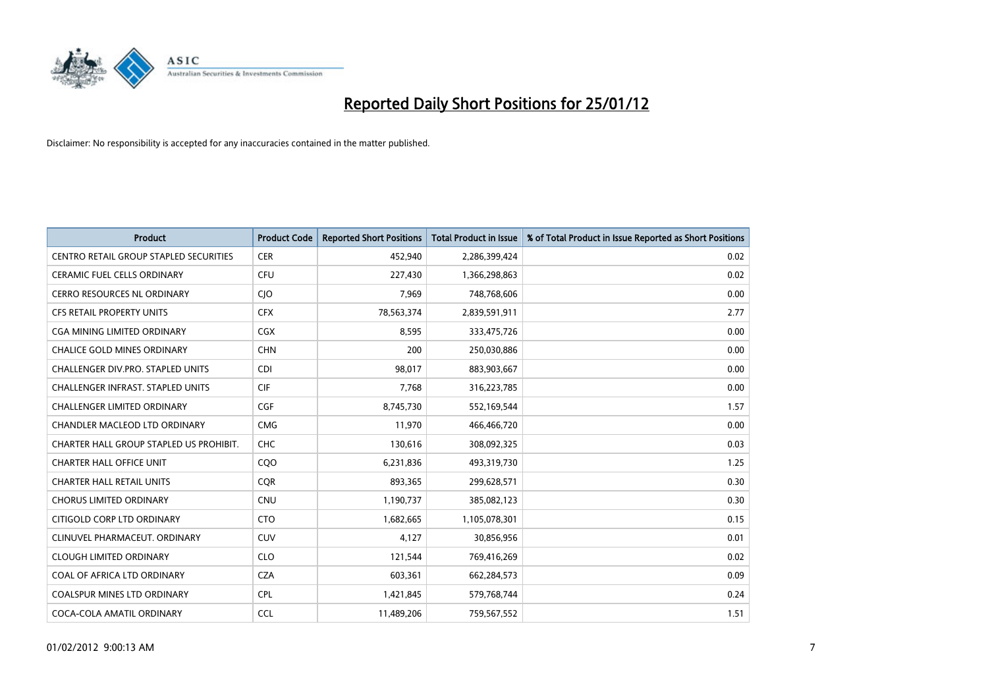

| <b>Product</b>                           | <b>Product Code</b> | <b>Reported Short Positions</b> | <b>Total Product in Issue</b> | % of Total Product in Issue Reported as Short Positions |
|------------------------------------------|---------------------|---------------------------------|-------------------------------|---------------------------------------------------------|
| CENTRO RETAIL GROUP STAPLED SECURITIES   | <b>CER</b>          | 452,940                         | 2,286,399,424                 | 0.02                                                    |
| CERAMIC FUEL CELLS ORDINARY              | <b>CFU</b>          | 227,430                         | 1,366,298,863                 | 0.02                                                    |
| <b>CERRO RESOURCES NL ORDINARY</b>       | <b>CIO</b>          | 7,969                           | 748,768,606                   | 0.00                                                    |
| CFS RETAIL PROPERTY UNITS                | <b>CFX</b>          | 78,563,374                      | 2,839,591,911                 | 2.77                                                    |
| <b>CGA MINING LIMITED ORDINARY</b>       | <b>CGX</b>          | 8,595                           | 333,475,726                   | 0.00                                                    |
| <b>CHALICE GOLD MINES ORDINARY</b>       | <b>CHN</b>          | 200                             | 250,030,886                   | 0.00                                                    |
| <b>CHALLENGER DIV.PRO. STAPLED UNITS</b> | <b>CDI</b>          | 98,017                          | 883,903,667                   | 0.00                                                    |
| CHALLENGER INFRAST. STAPLED UNITS        | <b>CIF</b>          | 7,768                           | 316,223,785                   | 0.00                                                    |
| CHALLENGER LIMITED ORDINARY              | <b>CGF</b>          | 8,745,730                       | 552,169,544                   | 1.57                                                    |
| CHANDLER MACLEOD LTD ORDINARY            | <b>CMG</b>          | 11,970                          | 466,466,720                   | 0.00                                                    |
| CHARTER HALL GROUP STAPLED US PROHIBIT.  | <b>CHC</b>          | 130,616                         | 308,092,325                   | 0.03                                                    |
| <b>CHARTER HALL OFFICE UNIT</b>          | CQ <sub>O</sub>     | 6,231,836                       | 493,319,730                   | 1.25                                                    |
| <b>CHARTER HALL RETAIL UNITS</b>         | <b>COR</b>          | 893,365                         | 299,628,571                   | 0.30                                                    |
| <b>CHORUS LIMITED ORDINARY</b>           | <b>CNU</b>          | 1,190,737                       | 385,082,123                   | 0.30                                                    |
| CITIGOLD CORP LTD ORDINARY               | <b>CTO</b>          | 1,682,665                       | 1,105,078,301                 | 0.15                                                    |
| CLINUVEL PHARMACEUT, ORDINARY            | CUV                 | 4,127                           | 30,856,956                    | 0.01                                                    |
| <b>CLOUGH LIMITED ORDINARY</b>           | <b>CLO</b>          | 121,544                         | 769,416,269                   | 0.02                                                    |
| COAL OF AFRICA LTD ORDINARY              | <b>CZA</b>          | 603,361                         | 662,284,573                   | 0.09                                                    |
| <b>COALSPUR MINES LTD ORDINARY</b>       | <b>CPL</b>          | 1,421,845                       | 579,768,744                   | 0.24                                                    |
| COCA-COLA AMATIL ORDINARY                | <b>CCL</b>          | 11,489,206                      | 759,567,552                   | 1.51                                                    |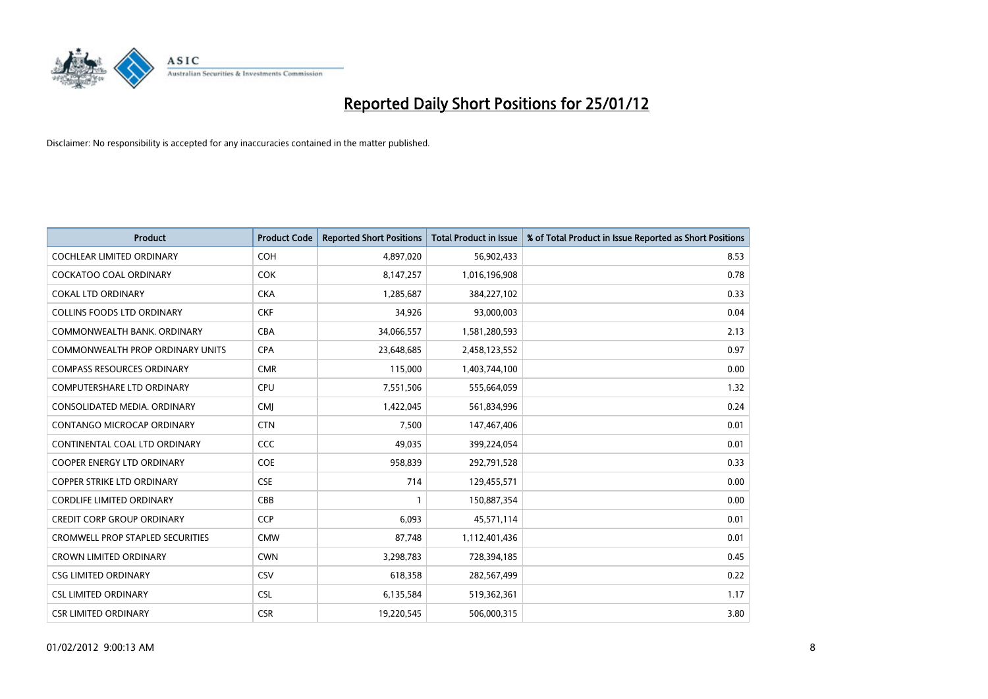

| <b>Product</b>                          | <b>Product Code</b> | <b>Reported Short Positions</b> | <b>Total Product in Issue</b> | % of Total Product in Issue Reported as Short Positions |
|-----------------------------------------|---------------------|---------------------------------|-------------------------------|---------------------------------------------------------|
| <b>COCHLEAR LIMITED ORDINARY</b>        | <b>COH</b>          | 4,897,020                       | 56,902,433                    | 8.53                                                    |
| COCKATOO COAL ORDINARY                  | <b>COK</b>          | 8,147,257                       | 1,016,196,908                 | 0.78                                                    |
| <b>COKAL LTD ORDINARY</b>               | <b>CKA</b>          | 1,285,687                       | 384,227,102                   | 0.33                                                    |
| COLLINS FOODS LTD ORDINARY              | <b>CKF</b>          | 34,926                          | 93,000,003                    | 0.04                                                    |
| COMMONWEALTH BANK, ORDINARY             | <b>CBA</b>          | 34,066,557                      | 1,581,280,593                 | 2.13                                                    |
| COMMONWEALTH PROP ORDINARY UNITS        | <b>CPA</b>          | 23,648,685                      | 2,458,123,552                 | 0.97                                                    |
| <b>COMPASS RESOURCES ORDINARY</b>       | <b>CMR</b>          | 115,000                         | 1,403,744,100                 | 0.00                                                    |
| <b>COMPUTERSHARE LTD ORDINARY</b>       | <b>CPU</b>          | 7,551,506                       | 555,664,059                   | 1.32                                                    |
| CONSOLIDATED MEDIA. ORDINARY            | <b>CMI</b>          | 1,422,045                       | 561,834,996                   | 0.24                                                    |
| <b>CONTANGO MICROCAP ORDINARY</b>       | <b>CTN</b>          | 7,500                           | 147,467,406                   | 0.01                                                    |
| CONTINENTAL COAL LTD ORDINARY           | <b>CCC</b>          | 49,035                          | 399,224,054                   | 0.01                                                    |
| <b>COOPER ENERGY LTD ORDINARY</b>       | <b>COE</b>          | 958,839                         | 292,791,528                   | 0.33                                                    |
| <b>COPPER STRIKE LTD ORDINARY</b>       | <b>CSE</b>          | 714                             | 129,455,571                   | 0.00                                                    |
| <b>CORDLIFE LIMITED ORDINARY</b>        | CBB                 |                                 | 150,887,354                   | 0.00                                                    |
| <b>CREDIT CORP GROUP ORDINARY</b>       | CCP                 | 6,093                           | 45,571,114                    | 0.01                                                    |
| <b>CROMWELL PROP STAPLED SECURITIES</b> | <b>CMW</b>          | 87,748                          | 1,112,401,436                 | 0.01                                                    |
| <b>CROWN LIMITED ORDINARY</b>           | <b>CWN</b>          | 3,298,783                       | 728,394,185                   | 0.45                                                    |
| <b>CSG LIMITED ORDINARY</b>             | CSV                 | 618,358                         | 282,567,499                   | 0.22                                                    |
| <b>CSL LIMITED ORDINARY</b>             | <b>CSL</b>          | 6,135,584                       | 519,362,361                   | 1.17                                                    |
| <b>CSR LIMITED ORDINARY</b>             | <b>CSR</b>          | 19,220,545                      | 506,000,315                   | 3.80                                                    |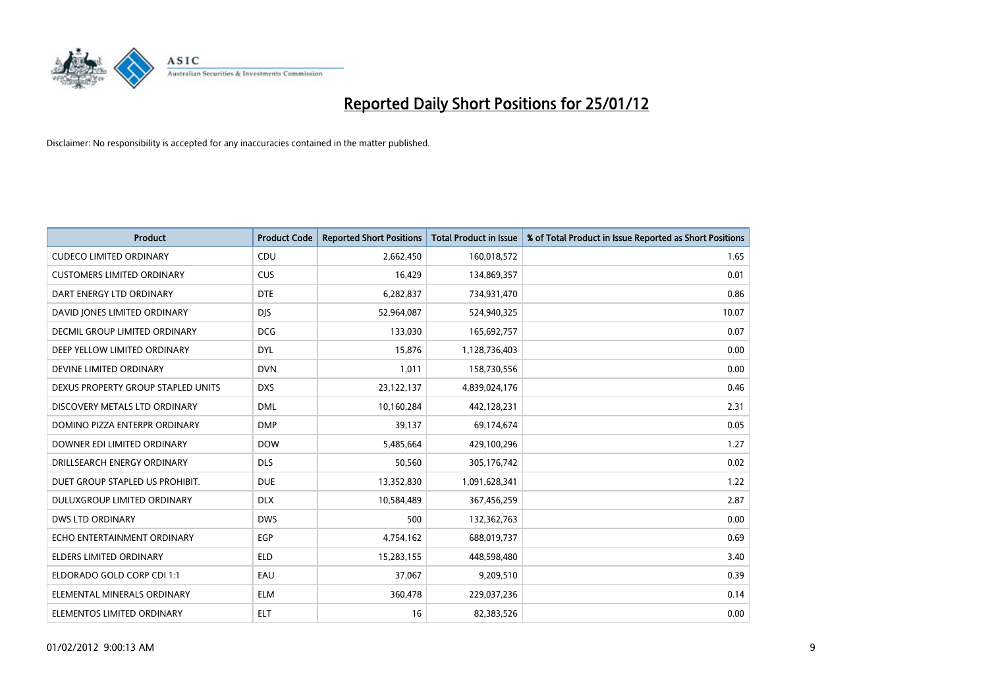

| <b>Product</b>                     | <b>Product Code</b> | <b>Reported Short Positions</b> | <b>Total Product in Issue</b> | % of Total Product in Issue Reported as Short Positions |
|------------------------------------|---------------------|---------------------------------|-------------------------------|---------------------------------------------------------|
| <b>CUDECO LIMITED ORDINARY</b>     | CDU                 | 2,662,450                       | 160,018,572                   | 1.65                                                    |
| <b>CUSTOMERS LIMITED ORDINARY</b>  | CUS                 | 16,429                          | 134,869,357                   | 0.01                                                    |
| DART ENERGY LTD ORDINARY           | <b>DTE</b>          | 6,282,837                       | 734,931,470                   | 0.86                                                    |
| DAVID JONES LIMITED ORDINARY       | <b>DJS</b>          | 52,964,087                      | 524,940,325                   | 10.07                                                   |
| DECMIL GROUP LIMITED ORDINARY      | <b>DCG</b>          | 133,030                         | 165,692,757                   | 0.07                                                    |
| DEEP YELLOW LIMITED ORDINARY       | <b>DYL</b>          | 15,876                          | 1,128,736,403                 | 0.00                                                    |
| DEVINE LIMITED ORDINARY            | <b>DVN</b>          | 1,011                           | 158,730,556                   | 0.00                                                    |
| DEXUS PROPERTY GROUP STAPLED UNITS | <b>DXS</b>          | 23,122,137                      | 4,839,024,176                 | 0.46                                                    |
| DISCOVERY METALS LTD ORDINARY      | <b>DML</b>          | 10,160,284                      | 442,128,231                   | 2.31                                                    |
| DOMINO PIZZA ENTERPR ORDINARY      | <b>DMP</b>          | 39,137                          | 69,174,674                    | 0.05                                                    |
| DOWNER EDI LIMITED ORDINARY        | <b>DOW</b>          | 5,485,664                       | 429,100,296                   | 1.27                                                    |
| DRILLSEARCH ENERGY ORDINARY        | <b>DLS</b>          | 50,560                          | 305,176,742                   | 0.02                                                    |
| DUET GROUP STAPLED US PROHIBIT.    | <b>DUE</b>          | 13,352,830                      | 1,091,628,341                 | 1.22                                                    |
| DULUXGROUP LIMITED ORDINARY        | <b>DLX</b>          | 10,584,489                      | 367,456,259                   | 2.87                                                    |
| <b>DWS LTD ORDINARY</b>            | <b>DWS</b>          | 500                             | 132,362,763                   | 0.00                                                    |
| ECHO ENTERTAINMENT ORDINARY        | <b>EGP</b>          | 4,754,162                       | 688,019,737                   | 0.69                                                    |
| ELDERS LIMITED ORDINARY            | <b>ELD</b>          | 15,283,155                      | 448,598,480                   | 3.40                                                    |
| ELDORADO GOLD CORP CDI 1:1         | EAU                 | 37,067                          | 9,209,510                     | 0.39                                                    |
| ELEMENTAL MINERALS ORDINARY        | <b>ELM</b>          | 360,478                         | 229,037,236                   | 0.14                                                    |
| ELEMENTOS LIMITED ORDINARY         | <b>ELT</b>          | 16                              | 82,383,526                    | 0.00                                                    |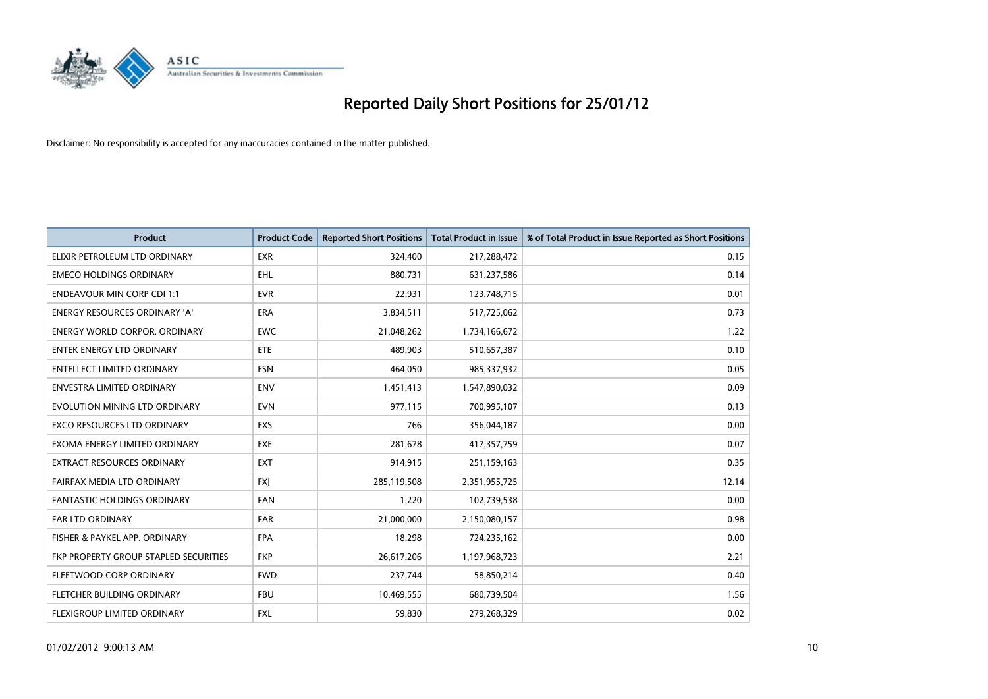

| <b>Product</b>                        | <b>Product Code</b> | <b>Reported Short Positions</b> | <b>Total Product in Issue</b> | % of Total Product in Issue Reported as Short Positions |
|---------------------------------------|---------------------|---------------------------------|-------------------------------|---------------------------------------------------------|
| ELIXIR PETROLEUM LTD ORDINARY         | <b>EXR</b>          | 324,400                         | 217,288,472                   | 0.15                                                    |
| <b>EMECO HOLDINGS ORDINARY</b>        | <b>EHL</b>          | 880,731                         | 631,237,586                   | 0.14                                                    |
| <b>ENDEAVOUR MIN CORP CDI 1:1</b>     | <b>EVR</b>          | 22,931                          | 123,748,715                   | 0.01                                                    |
| ENERGY RESOURCES ORDINARY 'A'         | ERA                 | 3,834,511                       | 517,725,062                   | 0.73                                                    |
| <b>ENERGY WORLD CORPOR, ORDINARY</b>  | <b>EWC</b>          | 21,048,262                      | 1,734,166,672                 | 1.22                                                    |
| <b>ENTEK ENERGY LTD ORDINARY</b>      | <b>ETE</b>          | 489,903                         | 510,657,387                   | 0.10                                                    |
| <b>ENTELLECT LIMITED ORDINARY</b>     | <b>ESN</b>          | 464.050                         | 985,337,932                   | 0.05                                                    |
| ENVESTRA LIMITED ORDINARY             | <b>ENV</b>          | 1,451,413                       | 1,547,890,032                 | 0.09                                                    |
| EVOLUTION MINING LTD ORDINARY         | <b>EVN</b>          | 977,115                         | 700,995,107                   | 0.13                                                    |
| <b>EXCO RESOURCES LTD ORDINARY</b>    | <b>EXS</b>          | 766                             | 356,044,187                   | 0.00                                                    |
| EXOMA ENERGY LIMITED ORDINARY         | <b>EXE</b>          | 281,678                         | 417,357,759                   | 0.07                                                    |
| <b>EXTRACT RESOURCES ORDINARY</b>     | <b>EXT</b>          | 914,915                         | 251,159,163                   | 0.35                                                    |
| FAIRFAX MEDIA LTD ORDINARY            | <b>FXI</b>          | 285,119,508                     | 2,351,955,725                 | 12.14                                                   |
| <b>FANTASTIC HOLDINGS ORDINARY</b>    | <b>FAN</b>          | 1,220                           | 102,739,538                   | 0.00                                                    |
| <b>FAR LTD ORDINARY</b>               | <b>FAR</b>          | 21,000,000                      | 2,150,080,157                 | 0.98                                                    |
| FISHER & PAYKEL APP. ORDINARY         | <b>FPA</b>          | 18,298                          | 724,235,162                   | 0.00                                                    |
| FKP PROPERTY GROUP STAPLED SECURITIES | <b>FKP</b>          | 26,617,206                      | 1,197,968,723                 | 2.21                                                    |
| FLEETWOOD CORP ORDINARY               | <b>FWD</b>          | 237,744                         | 58,850,214                    | 0.40                                                    |
| FLETCHER BUILDING ORDINARY            | <b>FBU</b>          | 10,469,555                      | 680,739,504                   | 1.56                                                    |
| <b>FLEXIGROUP LIMITED ORDINARY</b>    | <b>FXL</b>          | 59.830                          | 279,268,329                   | 0.02                                                    |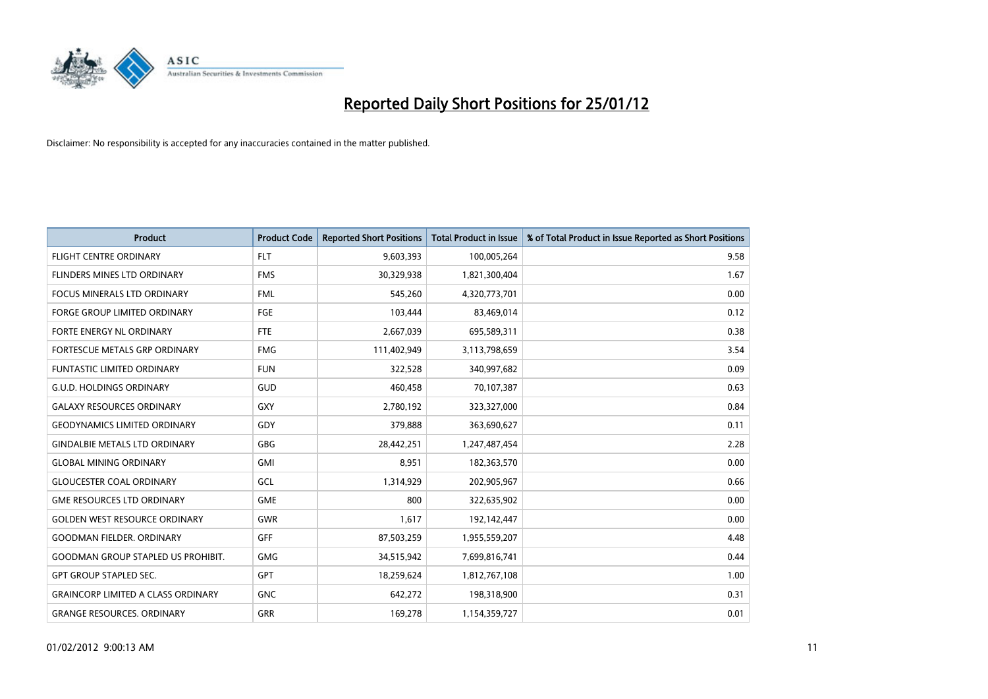

| <b>Product</b>                            | <b>Product Code</b> | <b>Reported Short Positions</b> | <b>Total Product in Issue</b> | % of Total Product in Issue Reported as Short Positions |
|-------------------------------------------|---------------------|---------------------------------|-------------------------------|---------------------------------------------------------|
| <b>FLIGHT CENTRE ORDINARY</b>             | <b>FLT</b>          | 9,603,393                       | 100,005,264                   | 9.58                                                    |
| FLINDERS MINES LTD ORDINARY               | <b>FMS</b>          | 30,329,938                      | 1,821,300,404                 | 1.67                                                    |
| <b>FOCUS MINERALS LTD ORDINARY</b>        | <b>FML</b>          | 545,260                         | 4,320,773,701                 | 0.00                                                    |
| <b>FORGE GROUP LIMITED ORDINARY</b>       | FGE                 | 103,444                         | 83,469,014                    | 0.12                                                    |
| FORTE ENERGY NL ORDINARY                  | <b>FTE</b>          | 2,667,039                       | 695,589,311                   | 0.38                                                    |
| FORTESCUE METALS GRP ORDINARY             | <b>FMG</b>          | 111,402,949                     | 3,113,798,659                 | 3.54                                                    |
| <b>FUNTASTIC LIMITED ORDINARY</b>         | <b>FUN</b>          | 322,528                         | 340,997,682                   | 0.09                                                    |
| <b>G.U.D. HOLDINGS ORDINARY</b>           | GUD                 | 460,458                         | 70,107,387                    | 0.63                                                    |
| <b>GALAXY RESOURCES ORDINARY</b>          | GXY                 | 2,780,192                       | 323,327,000                   | 0.84                                                    |
| <b>GEODYNAMICS LIMITED ORDINARY</b>       | GDY                 | 379,888                         | 363,690,627                   | 0.11                                                    |
| <b>GINDALBIE METALS LTD ORDINARY</b>      | <b>GBG</b>          | 28,442,251                      | 1,247,487,454                 | 2.28                                                    |
| <b>GLOBAL MINING ORDINARY</b>             | <b>GMI</b>          | 8,951                           | 182,363,570                   | 0.00                                                    |
| <b>GLOUCESTER COAL ORDINARY</b>           | GCL                 | 1,314,929                       | 202,905,967                   | 0.66                                                    |
| <b>GME RESOURCES LTD ORDINARY</b>         | <b>GME</b>          | 800                             | 322,635,902                   | 0.00                                                    |
| <b>GOLDEN WEST RESOURCE ORDINARY</b>      | <b>GWR</b>          | 1,617                           | 192,142,447                   | 0.00                                                    |
| <b>GOODMAN FIELDER, ORDINARY</b>          | GFF                 | 87,503,259                      | 1,955,559,207                 | 4.48                                                    |
| GOODMAN GROUP STAPLED US PROHIBIT.        | <b>GMG</b>          | 34,515,942                      | 7,699,816,741                 | 0.44                                                    |
| <b>GPT GROUP STAPLED SEC.</b>             | <b>GPT</b>          | 18,259,624                      | 1,812,767,108                 | 1.00                                                    |
| <b>GRAINCORP LIMITED A CLASS ORDINARY</b> | <b>GNC</b>          | 642,272                         | 198,318,900                   | 0.31                                                    |
| <b>GRANGE RESOURCES. ORDINARY</b>         | <b>GRR</b>          | 169,278                         | 1,154,359,727                 | 0.01                                                    |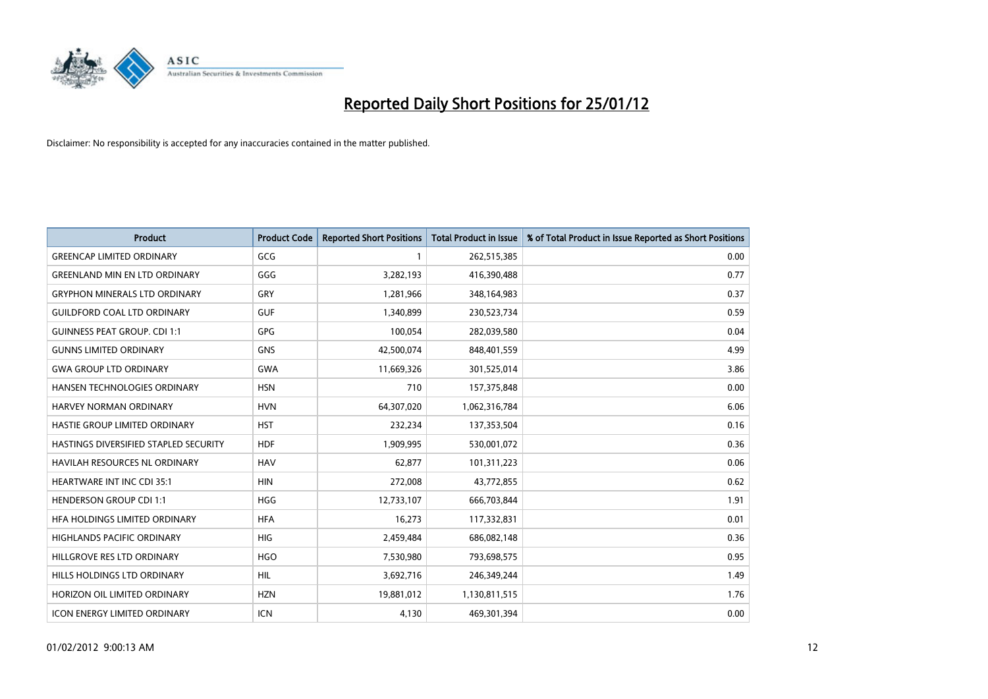

| <b>Product</b>                        | <b>Product Code</b> | <b>Reported Short Positions</b> | <b>Total Product in Issue</b> | % of Total Product in Issue Reported as Short Positions |
|---------------------------------------|---------------------|---------------------------------|-------------------------------|---------------------------------------------------------|
| <b>GREENCAP LIMITED ORDINARY</b>      | GCG                 |                                 | 262,515,385                   | 0.00                                                    |
| <b>GREENLAND MIN EN LTD ORDINARY</b>  | GGG                 | 3,282,193                       | 416,390,488                   | 0.77                                                    |
| <b>GRYPHON MINERALS LTD ORDINARY</b>  | GRY                 | 1,281,966                       | 348,164,983                   | 0.37                                                    |
| <b>GUILDFORD COAL LTD ORDINARY</b>    | <b>GUF</b>          | 1,340,899                       | 230,523,734                   | 0.59                                                    |
| <b>GUINNESS PEAT GROUP. CDI 1:1</b>   | <b>GPG</b>          | 100,054                         | 282,039,580                   | 0.04                                                    |
| <b>GUNNS LIMITED ORDINARY</b>         | <b>GNS</b>          | 42,500,074                      | 848,401,559                   | 4.99                                                    |
| <b>GWA GROUP LTD ORDINARY</b>         | <b>GWA</b>          | 11,669,326                      | 301,525,014                   | 3.86                                                    |
| HANSEN TECHNOLOGIES ORDINARY          | <b>HSN</b>          | 710                             | 157,375,848                   | 0.00                                                    |
| HARVEY NORMAN ORDINARY                | <b>HVN</b>          | 64,307,020                      | 1,062,316,784                 | 6.06                                                    |
| HASTIE GROUP LIMITED ORDINARY         | <b>HST</b>          | 232,234                         | 137,353,504                   | 0.16                                                    |
| HASTINGS DIVERSIFIED STAPLED SECURITY | <b>HDF</b>          | 1,909,995                       | 530,001,072                   | 0.36                                                    |
| <b>HAVILAH RESOURCES NL ORDINARY</b>  | <b>HAV</b>          | 62,877                          | 101,311,223                   | 0.06                                                    |
| HEARTWARE INT INC CDI 35:1            | <b>HIN</b>          | 272,008                         | 43,772,855                    | 0.62                                                    |
| <b>HENDERSON GROUP CDI 1:1</b>        | <b>HGG</b>          | 12,733,107                      | 666,703,844                   | 1.91                                                    |
| HFA HOLDINGS LIMITED ORDINARY         | <b>HFA</b>          | 16,273                          | 117,332,831                   | 0.01                                                    |
| HIGHLANDS PACIFIC ORDINARY            | <b>HIG</b>          | 2,459,484                       | 686,082,148                   | 0.36                                                    |
| HILLGROVE RES LTD ORDINARY            | <b>HGO</b>          | 7,530,980                       | 793,698,575                   | 0.95                                                    |
| HILLS HOLDINGS LTD ORDINARY           | <b>HIL</b>          | 3,692,716                       | 246,349,244                   | 1.49                                                    |
| HORIZON OIL LIMITED ORDINARY          | <b>HZN</b>          | 19,881,012                      | 1,130,811,515                 | 1.76                                                    |
| ICON ENERGY LIMITED ORDINARY          | <b>ICN</b>          | 4,130                           | 469,301,394                   | 0.00                                                    |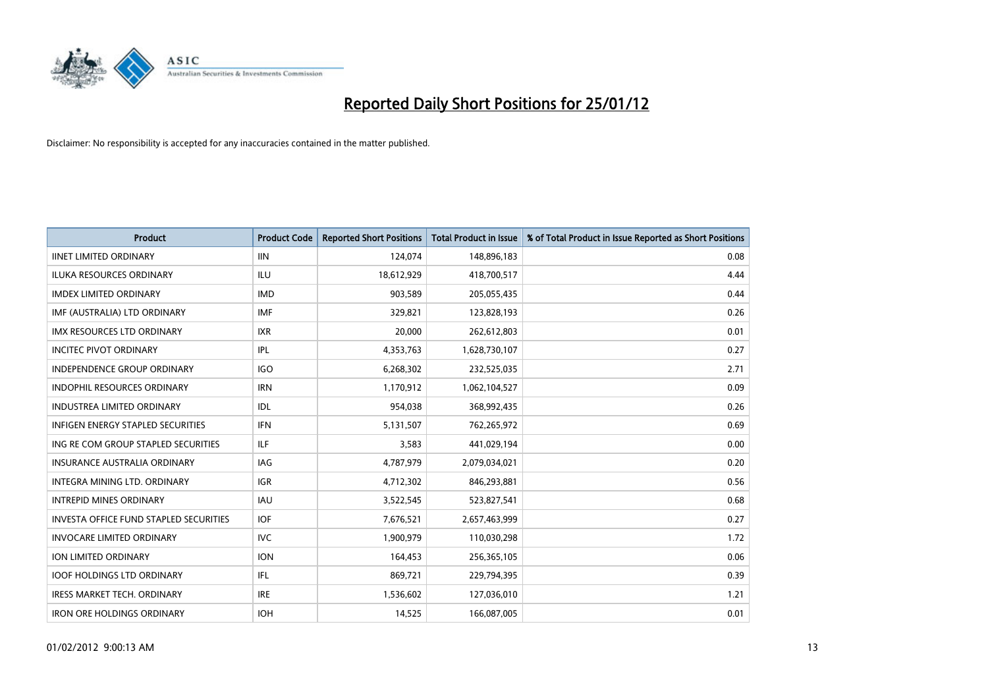

| <b>Product</b>                                | <b>Product Code</b> | <b>Reported Short Positions</b> | <b>Total Product in Issue</b> | % of Total Product in Issue Reported as Short Positions |
|-----------------------------------------------|---------------------|---------------------------------|-------------------------------|---------------------------------------------------------|
| <b>IINET LIMITED ORDINARY</b>                 | <b>IIN</b>          | 124,074                         | 148,896,183                   | 0.08                                                    |
| ILUKA RESOURCES ORDINARY                      | ILU                 | 18,612,929                      | 418,700,517                   | 4.44                                                    |
| <b>IMDEX LIMITED ORDINARY</b>                 | <b>IMD</b>          | 903,589                         | 205,055,435                   | 0.44                                                    |
| IMF (AUSTRALIA) LTD ORDINARY                  | <b>IMF</b>          | 329,821                         | 123,828,193                   | 0.26                                                    |
| <b>IMX RESOURCES LTD ORDINARY</b>             | <b>IXR</b>          | 20,000                          | 262,612,803                   | 0.01                                                    |
| <b>INCITEC PIVOT ORDINARY</b>                 | IPL                 | 4,353,763                       | 1,628,730,107                 | 0.27                                                    |
| <b>INDEPENDENCE GROUP ORDINARY</b>            | <b>IGO</b>          | 6,268,302                       | 232,525,035                   | 2.71                                                    |
| INDOPHIL RESOURCES ORDINARY                   | <b>IRN</b>          | 1,170,912                       | 1,062,104,527                 | 0.09                                                    |
| <b>INDUSTREA LIMITED ORDINARY</b>             | IDL                 | 954,038                         | 368,992,435                   | 0.26                                                    |
| <b>INFIGEN ENERGY STAPLED SECURITIES</b>      | <b>IFN</b>          | 5,131,507                       | 762,265,972                   | 0.69                                                    |
| ING RE COM GROUP STAPLED SECURITIES           | ILF.                | 3,583                           | 441,029,194                   | 0.00                                                    |
| <b>INSURANCE AUSTRALIA ORDINARY</b>           | IAG                 | 4,787,979                       | 2,079,034,021                 | 0.20                                                    |
| INTEGRA MINING LTD. ORDINARY                  | <b>IGR</b>          | 4,712,302                       | 846,293,881                   | 0.56                                                    |
| <b>INTREPID MINES ORDINARY</b>                | <b>IAU</b>          | 3,522,545                       | 523,827,541                   | 0.68                                                    |
| <b>INVESTA OFFICE FUND STAPLED SECURITIES</b> | <b>IOF</b>          | 7,676,521                       | 2,657,463,999                 | 0.27                                                    |
| <b>INVOCARE LIMITED ORDINARY</b>              | IVC                 | 1,900,979                       | 110,030,298                   | 1.72                                                    |
| ION LIMITED ORDINARY                          | <b>ION</b>          | 164,453                         | 256,365,105                   | 0.06                                                    |
| <b>IOOF HOLDINGS LTD ORDINARY</b>             | <b>IFL</b>          | 869,721                         | 229,794,395                   | 0.39                                                    |
| <b>IRESS MARKET TECH. ORDINARY</b>            | <b>IRE</b>          | 1,536,602                       | 127,036,010                   | 1.21                                                    |
| <b>IRON ORE HOLDINGS ORDINARY</b>             | <b>IOH</b>          | 14,525                          | 166,087,005                   | 0.01                                                    |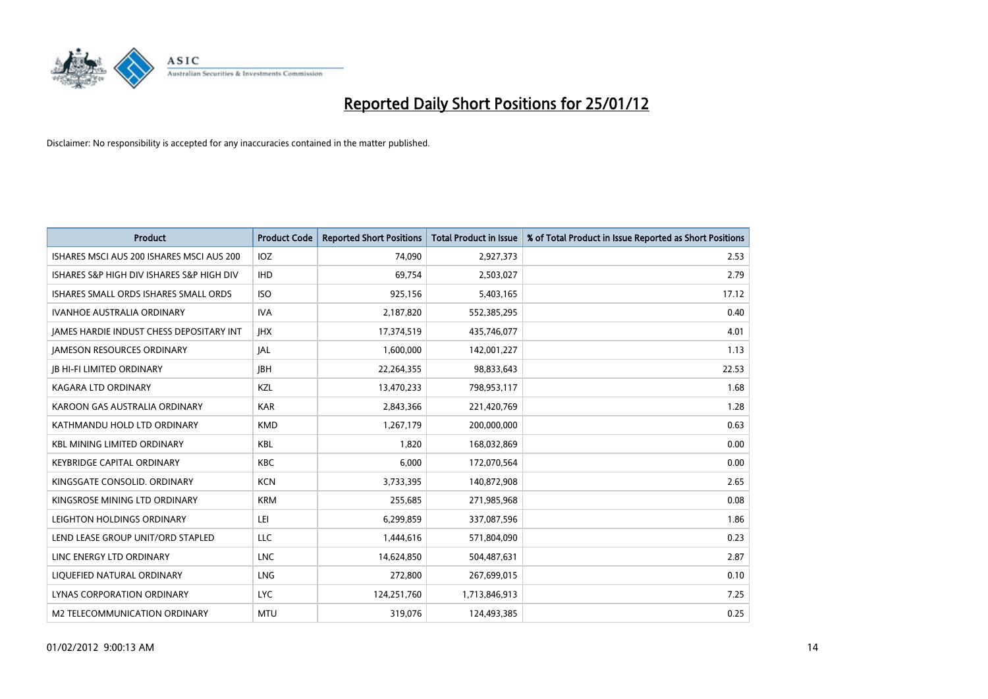

| <b>Product</b>                                  | <b>Product Code</b> | <b>Reported Short Positions</b> | <b>Total Product in Issue</b> | % of Total Product in Issue Reported as Short Positions |
|-------------------------------------------------|---------------------|---------------------------------|-------------------------------|---------------------------------------------------------|
| ISHARES MSCI AUS 200 ISHARES MSCI AUS 200       | IOZ                 | 74,090                          | 2,927,373                     | 2.53                                                    |
| ISHARES S&P HIGH DIV ISHARES S&P HIGH DIV       | <b>IHD</b>          | 69,754                          | 2,503,027                     | 2.79                                                    |
| ISHARES SMALL ORDS ISHARES SMALL ORDS           | <b>ISO</b>          | 925,156                         | 5,403,165                     | 17.12                                                   |
| <b>IVANHOE AUSTRALIA ORDINARY</b>               | <b>IVA</b>          | 2,187,820                       | 552,385,295                   | 0.40                                                    |
| <b>IAMES HARDIE INDUST CHESS DEPOSITARY INT</b> | <b>IHX</b>          | 17,374,519                      | 435,746,077                   | 4.01                                                    |
| <b>JAMESON RESOURCES ORDINARY</b>               | <b>JAL</b>          | 1,600,000                       | 142,001,227                   | 1.13                                                    |
| <b>JB HI-FI LIMITED ORDINARY</b>                | <b>IBH</b>          | 22,264,355                      | 98,833,643                    | 22.53                                                   |
| <b>KAGARA LTD ORDINARY</b>                      | <b>KZL</b>          | 13,470,233                      | 798,953,117                   | 1.68                                                    |
| KAROON GAS AUSTRALIA ORDINARY                   | <b>KAR</b>          | 2,843,366                       | 221,420,769                   | 1.28                                                    |
| KATHMANDU HOLD LTD ORDINARY                     | <b>KMD</b>          | 1,267,179                       | 200,000,000                   | 0.63                                                    |
| <b>KBL MINING LIMITED ORDINARY</b>              | <b>KBL</b>          | 1,820                           | 168,032,869                   | 0.00                                                    |
| <b>KEYBRIDGE CAPITAL ORDINARY</b>               | <b>KBC</b>          | 6.000                           | 172,070,564                   | 0.00                                                    |
| KINGSGATE CONSOLID. ORDINARY                    | <b>KCN</b>          | 3,733,395                       | 140,872,908                   | 2.65                                                    |
| KINGSROSE MINING LTD ORDINARY                   | <b>KRM</b>          | 255,685                         | 271,985,968                   | 0.08                                                    |
| LEIGHTON HOLDINGS ORDINARY                      | LEI                 | 6,299,859                       | 337,087,596                   | 1.86                                                    |
| LEND LEASE GROUP UNIT/ORD STAPLED               | LLC                 | 1,444,616                       | 571,804,090                   | 0.23                                                    |
| LINC ENERGY LTD ORDINARY                        | <b>LNC</b>          | 14,624,850                      | 504,487,631                   | 2.87                                                    |
| LIQUEFIED NATURAL ORDINARY                      | <b>LNG</b>          | 272,800                         | 267,699,015                   | 0.10                                                    |
| LYNAS CORPORATION ORDINARY                      | <b>LYC</b>          | 124,251,760                     | 1,713,846,913                 | 7.25                                                    |
| M2 TELECOMMUNICATION ORDINARY                   | <b>MTU</b>          | 319.076                         | 124,493,385                   | 0.25                                                    |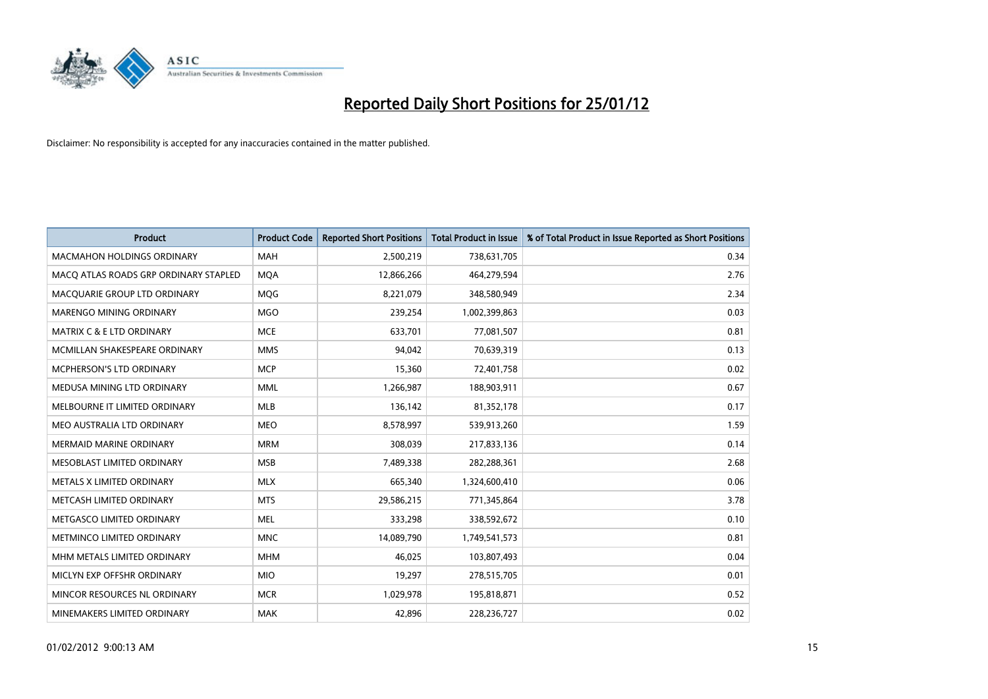

| <b>Product</b>                        | <b>Product Code</b> | <b>Reported Short Positions</b> | <b>Total Product in Issue</b> | % of Total Product in Issue Reported as Short Positions |
|---------------------------------------|---------------------|---------------------------------|-------------------------------|---------------------------------------------------------|
| <b>MACMAHON HOLDINGS ORDINARY</b>     | <b>MAH</b>          | 2,500,219                       | 738,631,705                   | 0.34                                                    |
| MACO ATLAS ROADS GRP ORDINARY STAPLED | <b>MQA</b>          | 12,866,266                      | 464,279,594                   | 2.76                                                    |
| MACOUARIE GROUP LTD ORDINARY          | <b>MOG</b>          | 8,221,079                       | 348,580,949                   | 2.34                                                    |
| MARENGO MINING ORDINARY               | <b>MGO</b>          | 239,254                         | 1,002,399,863                 | 0.03                                                    |
| <b>MATRIX C &amp; E LTD ORDINARY</b>  | <b>MCE</b>          | 633,701                         | 77,081,507                    | 0.81                                                    |
| MCMILLAN SHAKESPEARE ORDINARY         | <b>MMS</b>          | 94,042                          | 70,639,319                    | 0.13                                                    |
| <b>MCPHERSON'S LTD ORDINARY</b>       | <b>MCP</b>          | 15,360                          | 72,401,758                    | 0.02                                                    |
| MEDUSA MINING LTD ORDINARY            | <b>MML</b>          | 1,266,987                       | 188,903,911                   | 0.67                                                    |
| MELBOURNE IT LIMITED ORDINARY         | <b>MLB</b>          | 136,142                         | 81,352,178                    | 0.17                                                    |
| MEO AUSTRALIA LTD ORDINARY            | <b>MEO</b>          | 8,578,997                       | 539,913,260                   | 1.59                                                    |
| MERMAID MARINE ORDINARY               | <b>MRM</b>          | 308,039                         | 217,833,136                   | 0.14                                                    |
| MESOBLAST LIMITED ORDINARY            | <b>MSB</b>          | 7,489,338                       | 282,288,361                   | 2.68                                                    |
| METALS X LIMITED ORDINARY             | <b>MLX</b>          | 665,340                         | 1,324,600,410                 | 0.06                                                    |
| METCASH LIMITED ORDINARY              | <b>MTS</b>          | 29,586,215                      | 771,345,864                   | 3.78                                                    |
| METGASCO LIMITED ORDINARY             | <b>MEL</b>          | 333,298                         | 338,592,672                   | 0.10                                                    |
| METMINCO LIMITED ORDINARY             | <b>MNC</b>          | 14,089,790                      | 1,749,541,573                 | 0.81                                                    |
| MHM METALS LIMITED ORDINARY           | <b>MHM</b>          | 46,025                          | 103,807,493                   | 0.04                                                    |
| MICLYN EXP OFFSHR ORDINARY            | <b>MIO</b>          | 19,297                          | 278,515,705                   | 0.01                                                    |
| MINCOR RESOURCES NL ORDINARY          | <b>MCR</b>          | 1,029,978                       | 195,818,871                   | 0.52                                                    |
| MINEMAKERS LIMITED ORDINARY           | <b>MAK</b>          | 42,896                          | 228,236,727                   | 0.02                                                    |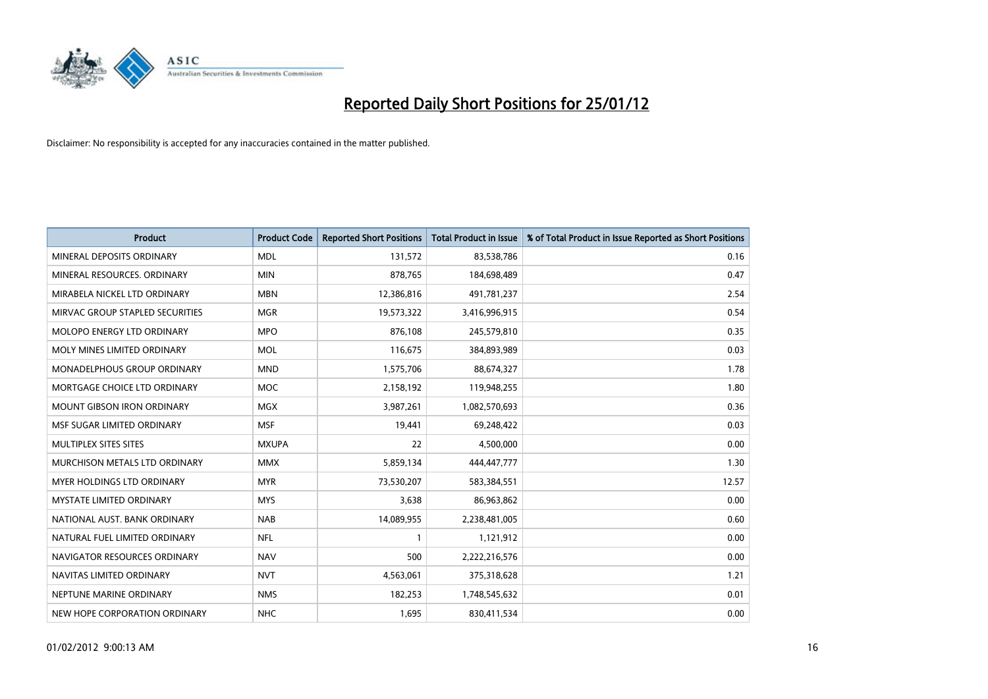

| <b>Product</b>                     | <b>Product Code</b> | <b>Reported Short Positions</b> | <b>Total Product in Issue</b> | % of Total Product in Issue Reported as Short Positions |
|------------------------------------|---------------------|---------------------------------|-------------------------------|---------------------------------------------------------|
| MINERAL DEPOSITS ORDINARY          | <b>MDL</b>          | 131,572                         | 83,538,786                    | 0.16                                                    |
| MINERAL RESOURCES. ORDINARY        | <b>MIN</b>          | 878,765                         | 184,698,489                   | 0.47                                                    |
| MIRABELA NICKEL LTD ORDINARY       | <b>MBN</b>          | 12,386,816                      | 491,781,237                   | 2.54                                                    |
| MIRVAC GROUP STAPLED SECURITIES    | <b>MGR</b>          | 19,573,322                      | 3,416,996,915                 | 0.54                                                    |
| <b>MOLOPO ENERGY LTD ORDINARY</b>  | <b>MPO</b>          | 876,108                         | 245,579,810                   | 0.35                                                    |
| MOLY MINES LIMITED ORDINARY        | <b>MOL</b>          | 116,675                         | 384,893,989                   | 0.03                                                    |
| <b>MONADELPHOUS GROUP ORDINARY</b> | <b>MND</b>          | 1,575,706                       | 88,674,327                    | 1.78                                                    |
| MORTGAGE CHOICE LTD ORDINARY       | <b>MOC</b>          | 2,158,192                       | 119,948,255                   | 1.80                                                    |
| <b>MOUNT GIBSON IRON ORDINARY</b>  | <b>MGX</b>          | 3,987,261                       | 1,082,570,693                 | 0.36                                                    |
| MSF SUGAR LIMITED ORDINARY         | <b>MSF</b>          | 19,441                          | 69,248,422                    | 0.03                                                    |
| MULTIPLEX SITES SITES              | <b>MXUPA</b>        | 22                              | 4,500,000                     | 0.00                                                    |
| MURCHISON METALS LTD ORDINARY      | <b>MMX</b>          | 5,859,134                       | 444,447,777                   | 1.30                                                    |
| MYER HOLDINGS LTD ORDINARY         | <b>MYR</b>          | 73,530,207                      | 583,384,551                   | 12.57                                                   |
| <b>MYSTATE LIMITED ORDINARY</b>    | <b>MYS</b>          | 3,638                           | 86,963,862                    | 0.00                                                    |
| NATIONAL AUST, BANK ORDINARY       | <b>NAB</b>          | 14,089,955                      | 2,238,481,005                 | 0.60                                                    |
| NATURAL FUEL LIMITED ORDINARY      | <b>NFL</b>          |                                 | 1,121,912                     | 0.00                                                    |
| NAVIGATOR RESOURCES ORDINARY       | <b>NAV</b>          | 500                             | 2,222,216,576                 | 0.00                                                    |
| NAVITAS LIMITED ORDINARY           | <b>NVT</b>          | 4,563,061                       | 375,318,628                   | 1.21                                                    |
| NEPTUNE MARINE ORDINARY            | <b>NMS</b>          | 182,253                         | 1,748,545,632                 | 0.01                                                    |
| NEW HOPE CORPORATION ORDINARY      | <b>NHC</b>          | 1,695                           | 830,411,534                   | 0.00                                                    |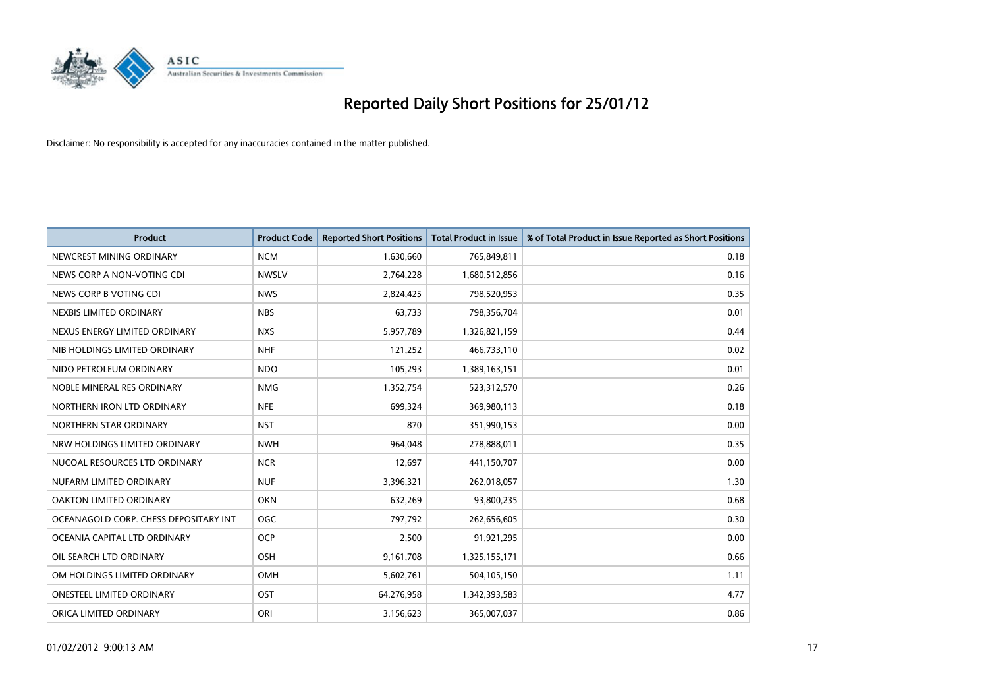

| <b>Product</b>                        | <b>Product Code</b> | <b>Reported Short Positions</b> | <b>Total Product in Issue</b> | % of Total Product in Issue Reported as Short Positions |
|---------------------------------------|---------------------|---------------------------------|-------------------------------|---------------------------------------------------------|
| NEWCREST MINING ORDINARY              | <b>NCM</b>          | 1,630,660                       | 765,849,811                   | 0.18                                                    |
| NEWS CORP A NON-VOTING CDI            | <b>NWSLV</b>        | 2,764,228                       | 1,680,512,856                 | 0.16                                                    |
| NEWS CORP B VOTING CDI                | <b>NWS</b>          | 2,824,425                       | 798,520,953                   | 0.35                                                    |
| NEXBIS LIMITED ORDINARY               | <b>NBS</b>          | 63,733                          | 798,356,704                   | 0.01                                                    |
| NEXUS ENERGY LIMITED ORDINARY         | <b>NXS</b>          | 5,957,789                       | 1,326,821,159                 | 0.44                                                    |
| NIB HOLDINGS LIMITED ORDINARY         | <b>NHF</b>          | 121,252                         | 466,733,110                   | 0.02                                                    |
| NIDO PETROLEUM ORDINARY               | <b>NDO</b>          | 105,293                         | 1,389,163,151                 | 0.01                                                    |
| NOBLE MINERAL RES ORDINARY            | <b>NMG</b>          | 1,352,754                       | 523,312,570                   | 0.26                                                    |
| NORTHERN IRON LTD ORDINARY            | <b>NFE</b>          | 699,324                         | 369,980,113                   | 0.18                                                    |
| NORTHERN STAR ORDINARY                | <b>NST</b>          | 870                             | 351,990,153                   | 0.00                                                    |
| NRW HOLDINGS LIMITED ORDINARY         | <b>NWH</b>          | 964,048                         | 278,888,011                   | 0.35                                                    |
| NUCOAL RESOURCES LTD ORDINARY         | <b>NCR</b>          | 12,697                          | 441,150,707                   | 0.00                                                    |
| NUFARM LIMITED ORDINARY               | <b>NUF</b>          | 3,396,321                       | 262,018,057                   | 1.30                                                    |
| OAKTON LIMITED ORDINARY               | <b>OKN</b>          | 632,269                         | 93,800,235                    | 0.68                                                    |
| OCEANAGOLD CORP. CHESS DEPOSITARY INT | <b>OGC</b>          | 797,792                         | 262,656,605                   | 0.30                                                    |
| OCEANIA CAPITAL LTD ORDINARY          | <b>OCP</b>          | 2,500                           | 91,921,295                    | 0.00                                                    |
| OIL SEARCH LTD ORDINARY               | <b>OSH</b>          | 9,161,708                       | 1,325,155,171                 | 0.66                                                    |
| OM HOLDINGS LIMITED ORDINARY          | <b>OMH</b>          | 5,602,761                       | 504,105,150                   | 1.11                                                    |
| <b>ONESTEEL LIMITED ORDINARY</b>      | OST                 | 64,276,958                      | 1,342,393,583                 | 4.77                                                    |
| ORICA LIMITED ORDINARY                | ORI                 | 3,156,623                       | 365,007,037                   | 0.86                                                    |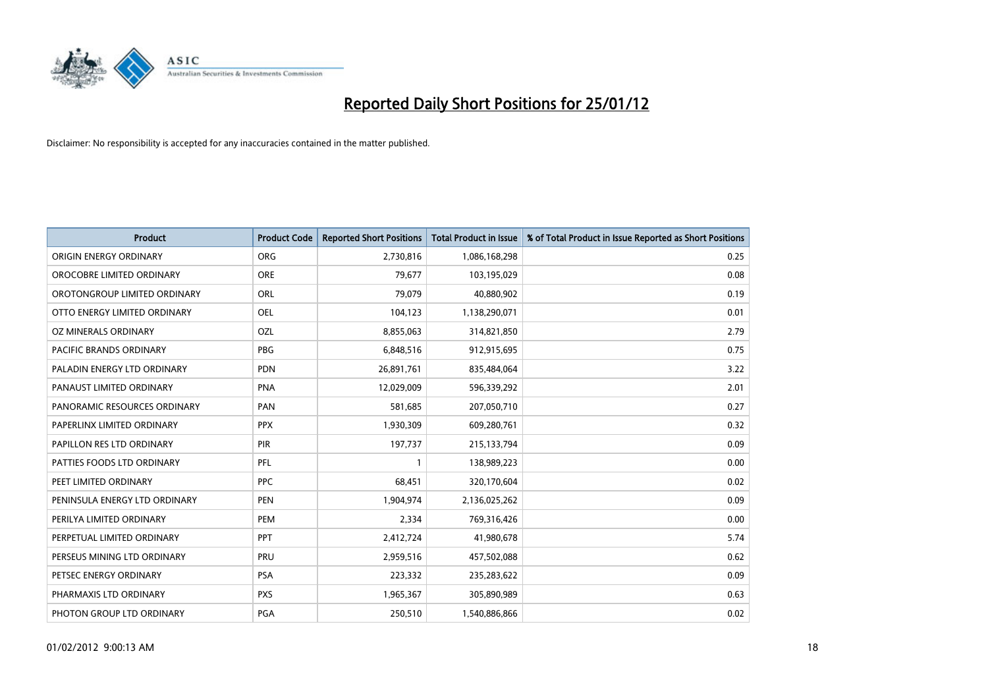

| <b>Product</b>                 | <b>Product Code</b> | <b>Reported Short Positions</b> | <b>Total Product in Issue</b> | % of Total Product in Issue Reported as Short Positions |
|--------------------------------|---------------------|---------------------------------|-------------------------------|---------------------------------------------------------|
| ORIGIN ENERGY ORDINARY         | <b>ORG</b>          | 2,730,816                       | 1,086,168,298                 | 0.25                                                    |
| OROCOBRE LIMITED ORDINARY      | <b>ORE</b>          | 79,677                          | 103,195,029                   | 0.08                                                    |
| OROTONGROUP LIMITED ORDINARY   | <b>ORL</b>          | 79,079                          | 40,880,902                    | 0.19                                                    |
| OTTO ENERGY LIMITED ORDINARY   | OEL                 | 104,123                         | 1,138,290,071                 | 0.01                                                    |
| OZ MINERALS ORDINARY           | OZL                 | 8,855,063                       | 314,821,850                   | 2.79                                                    |
| <b>PACIFIC BRANDS ORDINARY</b> | <b>PBG</b>          | 6,848,516                       | 912,915,695                   | 0.75                                                    |
| PALADIN ENERGY LTD ORDINARY    | <b>PDN</b>          | 26,891,761                      | 835,484,064                   | 3.22                                                    |
| PANAUST LIMITED ORDINARY       | <b>PNA</b>          | 12,029,009                      | 596,339,292                   | 2.01                                                    |
| PANORAMIC RESOURCES ORDINARY   | PAN                 | 581,685                         | 207,050,710                   | 0.27                                                    |
| PAPERLINX LIMITED ORDINARY     | <b>PPX</b>          | 1,930,309                       | 609,280,761                   | 0.32                                                    |
| PAPILLON RES LTD ORDINARY      | PIR                 | 197,737                         | 215,133,794                   | 0.09                                                    |
| PATTIES FOODS LTD ORDINARY     | PFL                 |                                 | 138,989,223                   | 0.00                                                    |
| PEET LIMITED ORDINARY          | <b>PPC</b>          | 68,451                          | 320,170,604                   | 0.02                                                    |
| PENINSULA ENERGY LTD ORDINARY  | <b>PEN</b>          | 1,904,974                       | 2,136,025,262                 | 0.09                                                    |
| PERILYA LIMITED ORDINARY       | PEM                 | 2,334                           | 769,316,426                   | 0.00                                                    |
| PERPETUAL LIMITED ORDINARY     | <b>PPT</b>          | 2,412,724                       | 41,980,678                    | 5.74                                                    |
| PERSEUS MINING LTD ORDINARY    | PRU                 | 2,959,516                       | 457,502,088                   | 0.62                                                    |
| PETSEC ENERGY ORDINARY         | <b>PSA</b>          | 223,332                         | 235,283,622                   | 0.09                                                    |
| PHARMAXIS LTD ORDINARY         | <b>PXS</b>          | 1,965,367                       | 305,890,989                   | 0.63                                                    |
| PHOTON GROUP LTD ORDINARY      | <b>PGA</b>          | 250.510                         | 1,540,886,866                 | 0.02                                                    |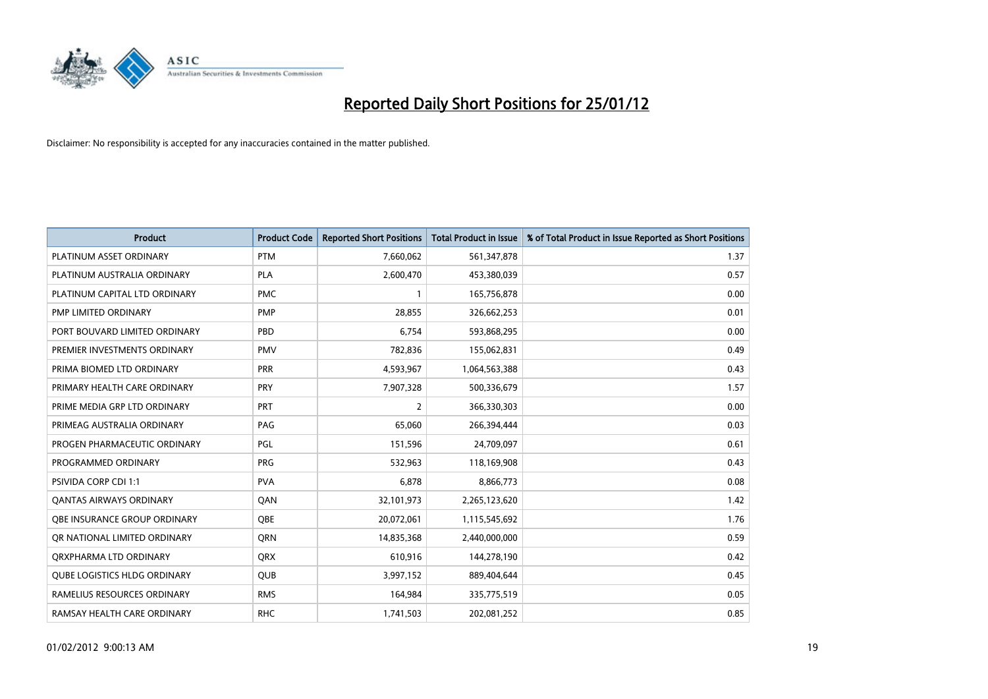

| <b>Product</b>                      | <b>Product Code</b> | <b>Reported Short Positions</b> | <b>Total Product in Issue</b> | % of Total Product in Issue Reported as Short Positions |
|-------------------------------------|---------------------|---------------------------------|-------------------------------|---------------------------------------------------------|
| PLATINUM ASSET ORDINARY             | <b>PTM</b>          | 7,660,062                       | 561,347,878                   | 1.37                                                    |
| PLATINUM AUSTRALIA ORDINARY         | <b>PLA</b>          | 2,600,470                       | 453,380,039                   | 0.57                                                    |
| PLATINUM CAPITAL LTD ORDINARY       | <b>PMC</b>          |                                 | 165,756,878                   | 0.00                                                    |
| PMP LIMITED ORDINARY                | <b>PMP</b>          | 28.855                          | 326,662,253                   | 0.01                                                    |
| PORT BOUVARD LIMITED ORDINARY       | PBD                 | 6,754                           | 593,868,295                   | 0.00                                                    |
| PREMIER INVESTMENTS ORDINARY        | <b>PMV</b>          | 782,836                         | 155,062,831                   | 0.49                                                    |
| PRIMA BIOMED LTD ORDINARY           | <b>PRR</b>          | 4,593,967                       | 1,064,563,388                 | 0.43                                                    |
| PRIMARY HEALTH CARE ORDINARY        | <b>PRY</b>          | 7,907,328                       | 500,336,679                   | 1.57                                                    |
| PRIME MEDIA GRP LTD ORDINARY        | PRT                 | 2                               | 366,330,303                   | 0.00                                                    |
| PRIMEAG AUSTRALIA ORDINARY          | PAG                 | 65,060                          | 266,394,444                   | 0.03                                                    |
| PROGEN PHARMACEUTIC ORDINARY        | PGL                 | 151,596                         | 24,709,097                    | 0.61                                                    |
| PROGRAMMED ORDINARY                 | <b>PRG</b>          | 532,963                         | 118,169,908                   | 0.43                                                    |
| <b>PSIVIDA CORP CDI 1:1</b>         | <b>PVA</b>          | 6,878                           | 8,866,773                     | 0.08                                                    |
| <b>QANTAS AIRWAYS ORDINARY</b>      | QAN                 | 32,101,973                      | 2,265,123,620                 | 1.42                                                    |
| OBE INSURANCE GROUP ORDINARY        | <b>OBE</b>          | 20,072,061                      | 1,115,545,692                 | 1.76                                                    |
| OR NATIONAL LIMITED ORDINARY        | <b>ORN</b>          | 14,835,368                      | 2,440,000,000                 | 0.59                                                    |
| ORXPHARMA LTD ORDINARY              | <b>QRX</b>          | 610,916                         | 144,278,190                   | 0.42                                                    |
| <b>QUBE LOGISTICS HLDG ORDINARY</b> | QUB                 | 3,997,152                       | 889,404,644                   | 0.45                                                    |
| RAMELIUS RESOURCES ORDINARY         | <b>RMS</b>          | 164,984                         | 335,775,519                   | 0.05                                                    |
| RAMSAY HEALTH CARE ORDINARY         | <b>RHC</b>          | 1,741,503                       | 202,081,252                   | 0.85                                                    |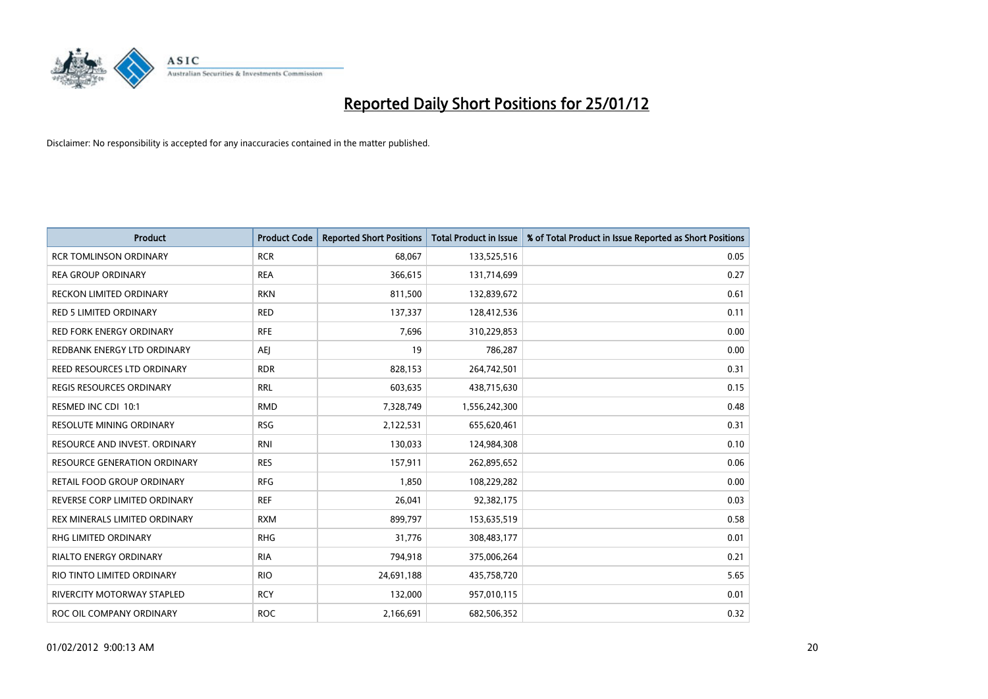

| <b>Product</b>                      | <b>Product Code</b> | <b>Reported Short Positions</b> | <b>Total Product in Issue</b> | % of Total Product in Issue Reported as Short Positions |
|-------------------------------------|---------------------|---------------------------------|-------------------------------|---------------------------------------------------------|
| <b>RCR TOMLINSON ORDINARY</b>       | <b>RCR</b>          | 68,067                          | 133,525,516                   | 0.05                                                    |
| <b>REA GROUP ORDINARY</b>           | <b>REA</b>          | 366,615                         | 131,714,699                   | 0.27                                                    |
| <b>RECKON LIMITED ORDINARY</b>      | <b>RKN</b>          | 811,500                         | 132,839,672                   | 0.61                                                    |
| RED 5 LIMITED ORDINARY              | <b>RED</b>          | 137,337                         | 128,412,536                   | 0.11                                                    |
| <b>RED FORK ENERGY ORDINARY</b>     | <b>RFE</b>          | 7,696                           | 310,229,853                   | 0.00                                                    |
| REDBANK ENERGY LTD ORDINARY         | AEI                 | 19                              | 786,287                       | 0.00                                                    |
| REED RESOURCES LTD ORDINARY         | <b>RDR</b>          | 828,153                         | 264,742,501                   | 0.31                                                    |
| REGIS RESOURCES ORDINARY            | <b>RRL</b>          | 603,635                         | 438,715,630                   | 0.15                                                    |
| RESMED INC CDI 10:1                 | <b>RMD</b>          | 7,328,749                       | 1,556,242,300                 | 0.48                                                    |
| <b>RESOLUTE MINING ORDINARY</b>     | <b>RSG</b>          | 2,122,531                       | 655,620,461                   | 0.31                                                    |
| RESOURCE AND INVEST. ORDINARY       | <b>RNI</b>          | 130,033                         | 124,984,308                   | 0.10                                                    |
| <b>RESOURCE GENERATION ORDINARY</b> | <b>RES</b>          | 157,911                         | 262,895,652                   | 0.06                                                    |
| RETAIL FOOD GROUP ORDINARY          | <b>RFG</b>          | 1,850                           | 108,229,282                   | 0.00                                                    |
| REVERSE CORP LIMITED ORDINARY       | <b>REF</b>          | 26,041                          | 92,382,175                    | 0.03                                                    |
| REX MINERALS LIMITED ORDINARY       | <b>RXM</b>          | 899,797                         | 153,635,519                   | 0.58                                                    |
| RHG LIMITED ORDINARY                | <b>RHG</b>          | 31,776                          | 308,483,177                   | 0.01                                                    |
| RIALTO ENERGY ORDINARY              | <b>RIA</b>          | 794,918                         | 375,006,264                   | 0.21                                                    |
| RIO TINTO LIMITED ORDINARY          | <b>RIO</b>          | 24,691,188                      | 435,758,720                   | 5.65                                                    |
| <b>RIVERCITY MOTORWAY STAPLED</b>   | <b>RCY</b>          | 132,000                         | 957,010,115                   | 0.01                                                    |
| ROC OIL COMPANY ORDINARY            | <b>ROC</b>          | 2,166,691                       | 682,506,352                   | 0.32                                                    |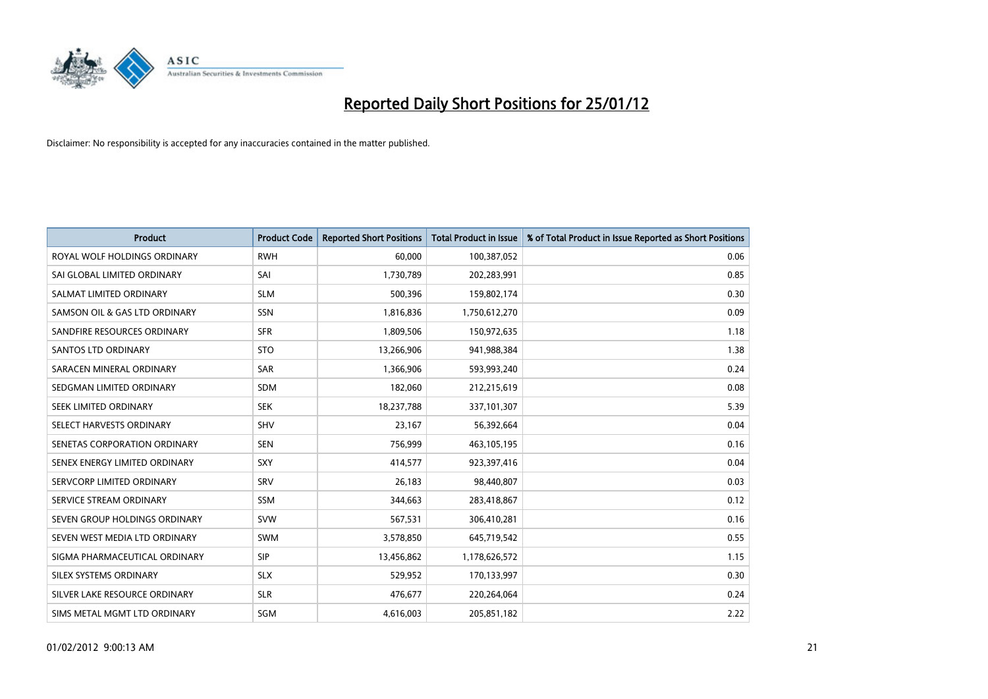

| <b>Product</b>                | <b>Product Code</b> | <b>Reported Short Positions</b> | <b>Total Product in Issue</b> | % of Total Product in Issue Reported as Short Positions |
|-------------------------------|---------------------|---------------------------------|-------------------------------|---------------------------------------------------------|
| ROYAL WOLF HOLDINGS ORDINARY  | <b>RWH</b>          | 60.000                          | 100,387,052                   | 0.06                                                    |
| SAI GLOBAL LIMITED ORDINARY   | SAI                 | 1,730,789                       | 202,283,991                   | 0.85                                                    |
| SALMAT LIMITED ORDINARY       | <b>SLM</b>          | 500,396                         | 159,802,174                   | 0.30                                                    |
| SAMSON OIL & GAS LTD ORDINARY | SSN                 | 1,816,836                       | 1,750,612,270                 | 0.09                                                    |
| SANDFIRE RESOURCES ORDINARY   | <b>SFR</b>          | 1,809,506                       | 150,972,635                   | 1.18                                                    |
| <b>SANTOS LTD ORDINARY</b>    | <b>STO</b>          | 13,266,906                      | 941,988,384                   | 1.38                                                    |
| SARACEN MINERAL ORDINARY      | <b>SAR</b>          | 1,366,906                       | 593,993,240                   | 0.24                                                    |
| SEDGMAN LIMITED ORDINARY      | <b>SDM</b>          | 182,060                         | 212,215,619                   | 0.08                                                    |
| SEEK LIMITED ORDINARY         | <b>SEK</b>          | 18,237,788                      | 337,101,307                   | 5.39                                                    |
| SELECT HARVESTS ORDINARY      | <b>SHV</b>          | 23,167                          | 56,392,664                    | 0.04                                                    |
| SENETAS CORPORATION ORDINARY  | <b>SEN</b>          | 756,999                         | 463,105,195                   | 0.16                                                    |
| SENEX ENERGY LIMITED ORDINARY | <b>SXY</b>          | 414,577                         | 923,397,416                   | 0.04                                                    |
| SERVCORP LIMITED ORDINARY     | SRV                 | 26,183                          | 98,440,807                    | 0.03                                                    |
| SERVICE STREAM ORDINARY       | SSM                 | 344,663                         | 283,418,867                   | 0.12                                                    |
| SEVEN GROUP HOLDINGS ORDINARY | <b>SVW</b>          | 567,531                         | 306,410,281                   | 0.16                                                    |
| SEVEN WEST MEDIA LTD ORDINARY | <b>SWM</b>          | 3,578,850                       | 645,719,542                   | 0.55                                                    |
| SIGMA PHARMACEUTICAL ORDINARY | <b>SIP</b>          | 13,456,862                      | 1,178,626,572                 | 1.15                                                    |
| SILEX SYSTEMS ORDINARY        | <b>SLX</b>          | 529,952                         | 170,133,997                   | 0.30                                                    |
| SILVER LAKE RESOURCE ORDINARY | <b>SLR</b>          | 476,677                         | 220,264,064                   | 0.24                                                    |
| SIMS METAL MGMT LTD ORDINARY  | SGM                 | 4,616,003                       | 205,851,182                   | 2.22                                                    |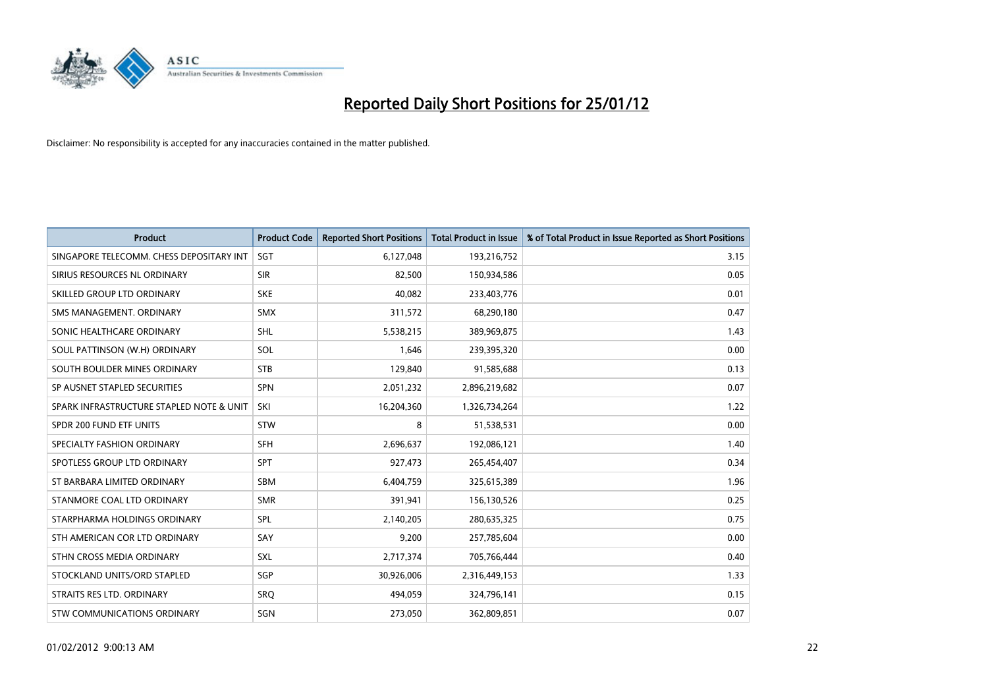

| <b>Product</b>                           | <b>Product Code</b> | <b>Reported Short Positions</b> | <b>Total Product in Issue</b> | % of Total Product in Issue Reported as Short Positions |
|------------------------------------------|---------------------|---------------------------------|-------------------------------|---------------------------------------------------------|
| SINGAPORE TELECOMM. CHESS DEPOSITARY INT | SGT                 | 6,127,048                       | 193,216,752                   | 3.15                                                    |
| SIRIUS RESOURCES NL ORDINARY             | <b>SIR</b>          | 82,500                          | 150,934,586                   | 0.05                                                    |
| SKILLED GROUP LTD ORDINARY               | <b>SKE</b>          | 40,082                          | 233,403,776                   | 0.01                                                    |
| SMS MANAGEMENT. ORDINARY                 | <b>SMX</b>          | 311,572                         | 68,290,180                    | 0.47                                                    |
| SONIC HEALTHCARE ORDINARY                | <b>SHL</b>          | 5,538,215                       | 389,969,875                   | 1.43                                                    |
| SOUL PATTINSON (W.H) ORDINARY            | SOL                 | 1,646                           | 239,395,320                   | 0.00                                                    |
| SOUTH BOULDER MINES ORDINARY             | <b>STB</b>          | 129,840                         | 91,585,688                    | 0.13                                                    |
| SP AUSNET STAPLED SECURITIES             | <b>SPN</b>          | 2,051,232                       | 2,896,219,682                 | 0.07                                                    |
| SPARK INFRASTRUCTURE STAPLED NOTE & UNIT | SKI                 | 16,204,360                      | 1,326,734,264                 | 1.22                                                    |
| SPDR 200 FUND ETF UNITS                  | <b>STW</b>          | 8                               | 51,538,531                    | 0.00                                                    |
| SPECIALTY FASHION ORDINARY               | <b>SFH</b>          | 2,696,637                       | 192,086,121                   | 1.40                                                    |
| SPOTLESS GROUP LTD ORDINARY              | <b>SPT</b>          | 927,473                         | 265,454,407                   | 0.34                                                    |
| ST BARBARA LIMITED ORDINARY              | <b>SBM</b>          | 6,404,759                       | 325,615,389                   | 1.96                                                    |
| STANMORE COAL LTD ORDINARY               | <b>SMR</b>          | 391,941                         | 156,130,526                   | 0.25                                                    |
| STARPHARMA HOLDINGS ORDINARY             | SPL                 | 2,140,205                       | 280,635,325                   | 0.75                                                    |
| STH AMERICAN COR LTD ORDINARY            | SAY                 | 9,200                           | 257,785,604                   | 0.00                                                    |
| STHN CROSS MEDIA ORDINARY                | SXL                 | 2,717,374                       | 705,766,444                   | 0.40                                                    |
| STOCKLAND UNITS/ORD STAPLED              | <b>SGP</b>          | 30,926,006                      | 2,316,449,153                 | 1.33                                                    |
| STRAITS RES LTD. ORDINARY                | SRO                 | 494,059                         | 324,796,141                   | 0.15                                                    |
| STW COMMUNICATIONS ORDINARY              | SGN                 | 273,050                         | 362,809,851                   | 0.07                                                    |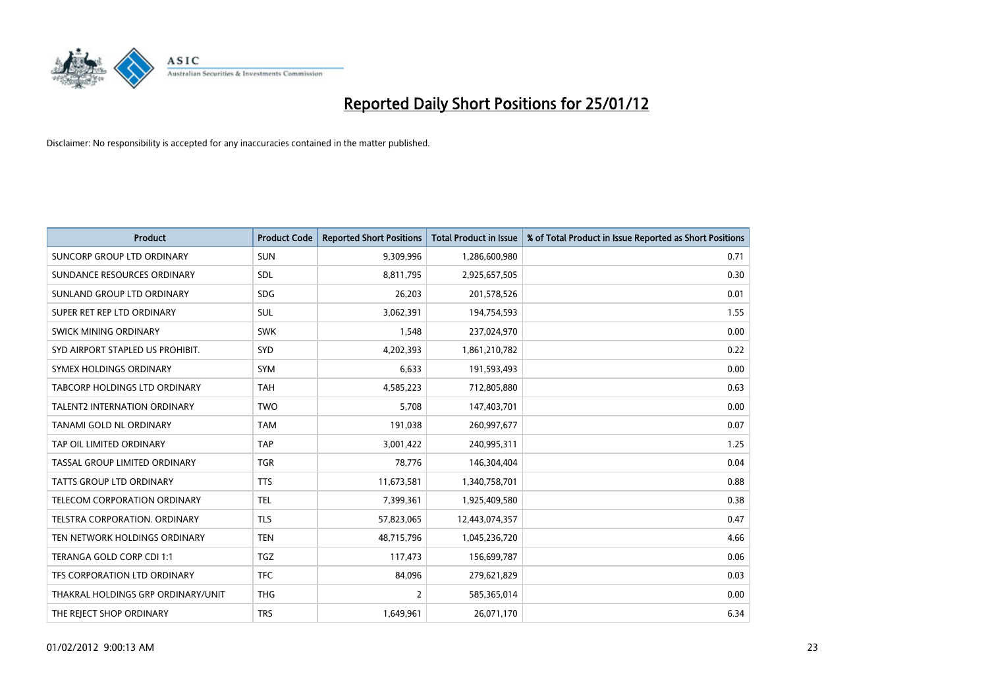

| <b>Product</b>                      | <b>Product Code</b> | <b>Reported Short Positions</b> | <b>Total Product in Issue</b> | % of Total Product in Issue Reported as Short Positions |
|-------------------------------------|---------------------|---------------------------------|-------------------------------|---------------------------------------------------------|
| SUNCORP GROUP LTD ORDINARY          | <b>SUN</b>          | 9,309,996                       | 1,286,600,980                 | 0.71                                                    |
| SUNDANCE RESOURCES ORDINARY         | <b>SDL</b>          | 8,811,795                       | 2,925,657,505                 | 0.30                                                    |
| SUNLAND GROUP LTD ORDINARY          | <b>SDG</b>          | 26,203                          | 201,578,526                   | 0.01                                                    |
| SUPER RET REP LTD ORDINARY          | <b>SUL</b>          | 3,062,391                       | 194,754,593                   | 1.55                                                    |
| <b>SWICK MINING ORDINARY</b>        | <b>SWK</b>          | 1,548                           | 237,024,970                   | 0.00                                                    |
| SYD AIRPORT STAPLED US PROHIBIT.    | <b>SYD</b>          | 4,202,393                       | 1,861,210,782                 | 0.22                                                    |
| SYMEX HOLDINGS ORDINARY             | <b>SYM</b>          | 6,633                           | 191,593,493                   | 0.00                                                    |
| TABCORP HOLDINGS LTD ORDINARY       | <b>TAH</b>          | 4,585,223                       | 712,805,880                   | 0.63                                                    |
| TALENT2 INTERNATION ORDINARY        | <b>TWO</b>          | 5,708                           | 147,403,701                   | 0.00                                                    |
| <b>TANAMI GOLD NL ORDINARY</b>      | <b>TAM</b>          | 191,038                         | 260,997,677                   | 0.07                                                    |
| TAP OIL LIMITED ORDINARY            | <b>TAP</b>          | 3,001,422                       | 240,995,311                   | 1.25                                                    |
| TASSAL GROUP LIMITED ORDINARY       | <b>TGR</b>          | 78,776                          | 146,304,404                   | 0.04                                                    |
| TATTS GROUP LTD ORDINARY            | <b>TTS</b>          | 11,673,581                      | 1,340,758,701                 | 0.88                                                    |
| <b>TELECOM CORPORATION ORDINARY</b> | <b>TEL</b>          | 7,399,361                       | 1,925,409,580                 | 0.38                                                    |
| TELSTRA CORPORATION, ORDINARY       | <b>TLS</b>          | 57,823,065                      | 12,443,074,357                | 0.47                                                    |
| TEN NETWORK HOLDINGS ORDINARY       | <b>TEN</b>          | 48,715,796                      | 1,045,236,720                 | 4.66                                                    |
| TERANGA GOLD CORP CDI 1:1           | <b>TGZ</b>          | 117,473                         | 156,699,787                   | 0.06                                                    |
| TFS CORPORATION LTD ORDINARY        | <b>TFC</b>          | 84,096                          | 279,621,829                   | 0.03                                                    |
| THAKRAL HOLDINGS GRP ORDINARY/UNIT  | <b>THG</b>          | 2                               | 585,365,014                   | 0.00                                                    |
| THE REJECT SHOP ORDINARY            | <b>TRS</b>          | 1,649,961                       | 26,071,170                    | 6.34                                                    |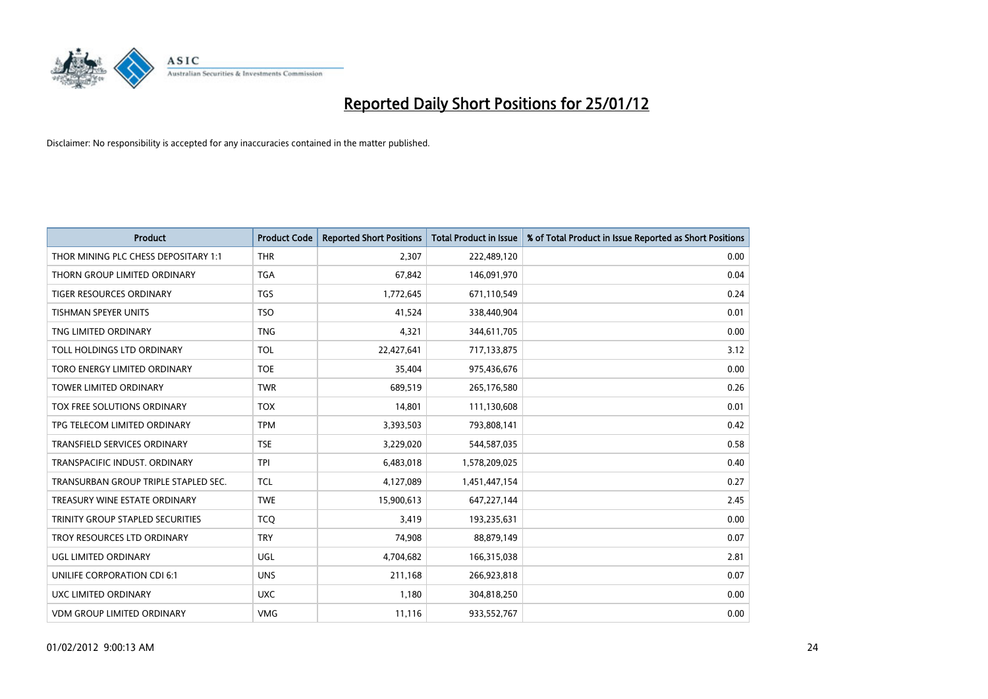

| <b>Product</b>                       | <b>Product Code</b> | <b>Reported Short Positions</b> | <b>Total Product in Issue</b> | % of Total Product in Issue Reported as Short Positions |
|--------------------------------------|---------------------|---------------------------------|-------------------------------|---------------------------------------------------------|
| THOR MINING PLC CHESS DEPOSITARY 1:1 | <b>THR</b>          | 2,307                           | 222,489,120                   | 0.00                                                    |
| THORN GROUP LIMITED ORDINARY         | <b>TGA</b>          | 67,842                          | 146,091,970                   | 0.04                                                    |
| TIGER RESOURCES ORDINARY             | <b>TGS</b>          | 1,772,645                       | 671,110,549                   | 0.24                                                    |
| TISHMAN SPEYER UNITS                 | <b>TSO</b>          | 41,524                          | 338,440,904                   | 0.01                                                    |
| TNG LIMITED ORDINARY                 | <b>TNG</b>          | 4,321                           | 344,611,705                   | 0.00                                                    |
| TOLL HOLDINGS LTD ORDINARY           | <b>TOL</b>          | 22,427,641                      | 717,133,875                   | 3.12                                                    |
| TORO ENERGY LIMITED ORDINARY         | <b>TOE</b>          | 35,404                          | 975,436,676                   | 0.00                                                    |
| <b>TOWER LIMITED ORDINARY</b>        | <b>TWR</b>          | 689,519                         | 265,176,580                   | 0.26                                                    |
| TOX FREE SOLUTIONS ORDINARY          | <b>TOX</b>          | 14,801                          | 111,130,608                   | 0.01                                                    |
| TPG TELECOM LIMITED ORDINARY         | <b>TPM</b>          | 3,393,503                       | 793,808,141                   | 0.42                                                    |
| TRANSFIELD SERVICES ORDINARY         | <b>TSE</b>          | 3,229,020                       | 544,587,035                   | 0.58                                                    |
| TRANSPACIFIC INDUST, ORDINARY        | <b>TPI</b>          | 6,483,018                       | 1,578,209,025                 | 0.40                                                    |
| TRANSURBAN GROUP TRIPLE STAPLED SEC. | <b>TCL</b>          | 4,127,089                       | 1,451,447,154                 | 0.27                                                    |
| TREASURY WINE ESTATE ORDINARY        | <b>TWE</b>          | 15,900,613                      | 647,227,144                   | 2.45                                                    |
| TRINITY GROUP STAPLED SECURITIES     | <b>TCQ</b>          | 3,419                           | 193,235,631                   | 0.00                                                    |
| TROY RESOURCES LTD ORDINARY          | <b>TRY</b>          | 74,908                          | 88,879,149                    | 0.07                                                    |
| UGL LIMITED ORDINARY                 | UGL                 | 4,704,682                       | 166,315,038                   | 2.81                                                    |
| UNILIFE CORPORATION CDI 6:1          | <b>UNS</b>          | 211,168                         | 266,923,818                   | 0.07                                                    |
| UXC LIMITED ORDINARY                 | <b>UXC</b>          | 1,180                           | 304,818,250                   | 0.00                                                    |
| <b>VDM GROUP LIMITED ORDINARY</b>    | <b>VMG</b>          | 11,116                          | 933,552,767                   | 0.00                                                    |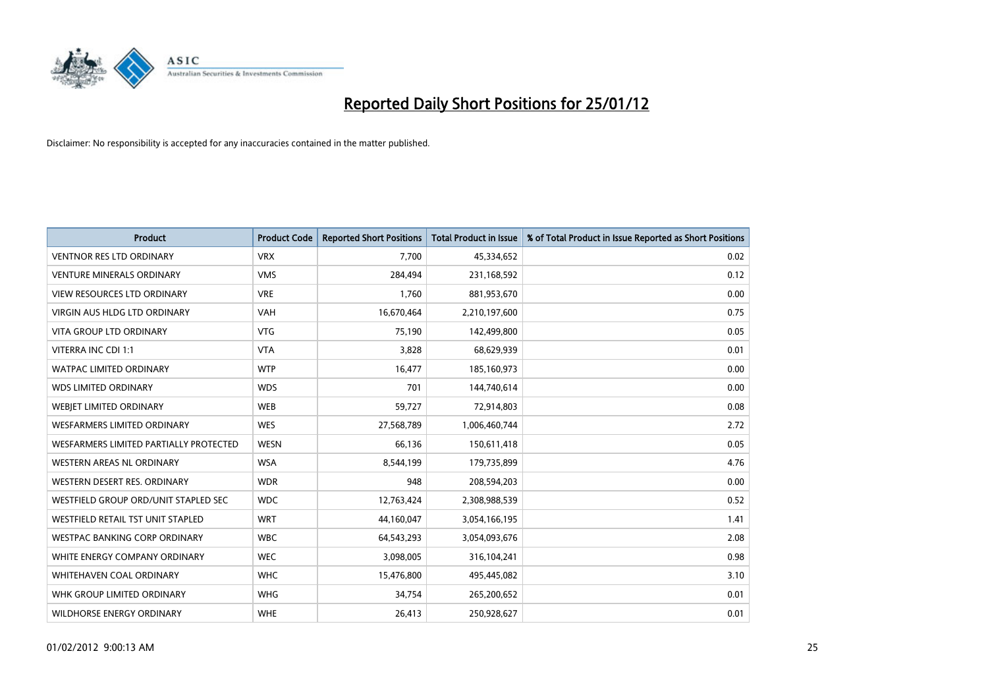

| <b>Product</b>                           | <b>Product Code</b> | <b>Reported Short Positions</b> | <b>Total Product in Issue</b> | % of Total Product in Issue Reported as Short Positions |
|------------------------------------------|---------------------|---------------------------------|-------------------------------|---------------------------------------------------------|
| <b>VENTNOR RES LTD ORDINARY</b>          | <b>VRX</b>          | 7,700                           | 45,334,652                    | 0.02                                                    |
| <b>VENTURE MINERALS ORDINARY</b>         | <b>VMS</b>          | 284,494                         | 231,168,592                   | 0.12                                                    |
| <b>VIEW RESOURCES LTD ORDINARY</b>       | <b>VRE</b>          | 1.760                           | 881,953,670                   | 0.00                                                    |
| VIRGIN AUS HLDG LTD ORDINARY             | <b>VAH</b>          | 16,670,464                      | 2,210,197,600                 | 0.75                                                    |
| <b>VITA GROUP LTD ORDINARY</b>           | <b>VTG</b>          | 75,190                          | 142,499,800                   | 0.05                                                    |
| VITERRA INC CDI 1:1                      | <b>VTA</b>          | 3,828                           | 68,629,939                    | 0.01                                                    |
| <b>WATPAC LIMITED ORDINARY</b>           | <b>WTP</b>          | 16,477                          | 185,160,973                   | 0.00                                                    |
| <b>WDS LIMITED ORDINARY</b>              | <b>WDS</b>          | 701                             | 144,740,614                   | 0.00                                                    |
| WEBIET LIMITED ORDINARY                  | <b>WEB</b>          | 59,727                          | 72,914,803                    | 0.08                                                    |
| <b>WESFARMERS LIMITED ORDINARY</b>       | <b>WES</b>          | 27,568,789                      | 1,006,460,744                 | 2.72                                                    |
| WESFARMERS LIMITED PARTIALLY PROTECTED   | <b>WESN</b>         | 66,136                          | 150,611,418                   | 0.05                                                    |
| WESTERN AREAS NL ORDINARY                | <b>WSA</b>          | 8,544,199                       | 179,735,899                   | 4.76                                                    |
| WESTERN DESERT RES. ORDINARY             | <b>WDR</b>          | 948                             | 208,594,203                   | 0.00                                                    |
| WESTFIELD GROUP ORD/UNIT STAPLED SEC     | <b>WDC</b>          | 12,763,424                      | 2,308,988,539                 | 0.52                                                    |
| <b>WESTFIELD RETAIL TST UNIT STAPLED</b> | <b>WRT</b>          | 44,160,047                      | 3,054,166,195                 | 1.41                                                    |
| WESTPAC BANKING CORP ORDINARY            | <b>WBC</b>          | 64,543,293                      | 3,054,093,676                 | 2.08                                                    |
| WHITE ENERGY COMPANY ORDINARY            | <b>WEC</b>          | 3,098,005                       | 316,104,241                   | 0.98                                                    |
| <b>WHITEHAVEN COAL ORDINARY</b>          | <b>WHC</b>          | 15,476,800                      | 495,445,082                   | 3.10                                                    |
| WHK GROUP LIMITED ORDINARY               | <b>WHG</b>          | 34,754                          | 265,200,652                   | 0.01                                                    |
| WILDHORSE ENERGY ORDINARY                | <b>WHE</b>          | 26,413                          | 250,928,627                   | 0.01                                                    |